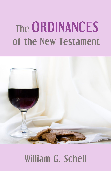# **The ORDINANCES** of the New Testament



## **William G. Schell**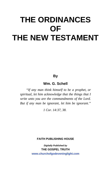#### **By**

#### **Wm. G. Schell**

*"If any man think himself to be a prophet, or spiritual, let him acknowledge that the things that I write unto you are the commandments of the Lord. But if any man be ignorant, let him be ignorant."*

*1 Cor. 14:37, 38.* 

#### **FAITH PUBLISHING HOUSE**

*Digitally Published by*  **THE GOSPEL TRUTH <www.churchofgodeveninglight.com>**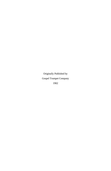Originally Published by Gospel Trumpet Company 1902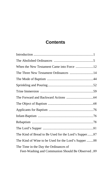#### **Contents**

| The Three New Testament Ordinances 14                                                    |  |
|------------------------------------------------------------------------------------------|--|
|                                                                                          |  |
|                                                                                          |  |
|                                                                                          |  |
|                                                                                          |  |
|                                                                                          |  |
|                                                                                          |  |
|                                                                                          |  |
|                                                                                          |  |
|                                                                                          |  |
| The Kind of Bread to Be Used for the Lord's Supper87                                     |  |
| The Kind of Wine to be Used for the Lord's Supper 88                                     |  |
| The Time in the Day the Ordinances of<br>Feet-Washing and Communion Should Be Observed89 |  |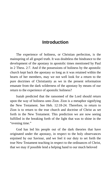#### **Introduction**

<span id="page-6-0"></span>The experience of holiness, or Christian perfection, is the mainspring of all gospel truth. It was doubtless the hindrance to the development of the apostasy in apostolic times mentioned by Paul in 2 Thess. 2:7. And if the possessions of holiness by the apostolic church kept back the apostasy so long as it was retained within the hearts of her members, may we not well look for a return to the pure doctrines of Christianity as we in the present reformation emanate from the dark wilderness of the apostasy by means of our return to the experience of apostolic holiness?

Isaiah predicted that the ransomed of the Lord should return upon the way of holiness unto Zion. Zion is a metaphor signifying the New Testament. See Heb. 12:18-24. Therefore, to return to Zion is to return to the true church and doctrine of Christ as set forth in the New Testament. This prediction we are now seeing fulfilled in the breaking forth of the light that was to shine in the "evening time."

God has led his people out of the dark theories that have originated under the apostasy, in respect to the holy observances enjoined by our Saviour, and we feel it our duty to set forth the true New Testament teaching in respect to the ordinances of Christ, that we may if possible lend a helping hand to our much beloved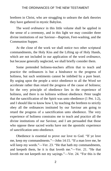brethren in Christ, who are struggling to unlearn the dark theories they have gathered in mystic Babylon.

The word *ordinance* in this little volume shall be applied in the sense of a ceremony, and in this light we may consider three divine institutions of our Saviour—Baptism, Feet-washing, and the Communion Supper.

At the close of the work we shall notice two other scriptural commandments, the Holy Kiss and the Lifting up of Holy Hands, which are not included in our application of the word *ordinance*, but because generally neglected, we shall briefly consider them.

Some pretended holiness-teachers affirm that to teach and practice the ordinances is but a hindrance to the progress of holiness, but such sentiments cannot be imbibed by a pure heart. By urging upon the people a strict obedience to all the Word we accelerate rather than retard the progress of the cause of holiness; for the very principle of obedience lies in the experience of holiness, and there is no holiness without obedience. Peter taught that the sanctification of the Spirit was unto obedience (1 Pet. 1:2), and I should like to know how I, by teaching the brethren to strictly obey all the ordinances instituted by our Saviour am going to retard the progress of a sanctification unto obedience. The very experience of holiness constrains me to teach and practice all the divine institutions of our Saviour, and I am persuaded that those who oppose these sacred works have not the apostolic experience of sanctification unto obedience.

Obedience is essential to prove our love to God. "If ye love me, keep my commandments."—John 14:15. "If a man love me, he will keep my words."—Ver. 23. "He that hath my commandments, and keepeth them, he it is that loveth me."—Ver. 21. "He that loveth me not keepeth not my sayings."—Ver. 24. "For this is the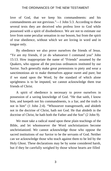love of God, that we keep his commandments: and his commandments are not grevious."—1 John 5:3. According to these several texts they are deceived who profess love to God while possessed with a spirit of disobedience. We are not to estimate our love from some peculiar sensation in our bosom, but from the spirit of true obedience, without which we are loving in word and in tongue only.

By obedience we also prove ourselves the friends of Jesus. "Ye are my friends, if ye do whatsoever I command you" John 15:13. How inappropriate the name of "Friends" assumed by the Quakers, who oppose all the precious ordinances instituted by our Savior. Such generally make great pretensions to piety and wear a sanctimonious air to make themselves appear sweet and pure; but if we stand upon the Word, by the standard of which alone uprightness is to be imputed, we cannot acknowledge them true friends of Christ.

A spirit of obedience is necessary to prove ourselves in possession of a saving knowledge of God. "He that saith, I know him, and keepeth not his commandments, is a liar, and the truth is not in him" (1 John 2:4). "Whosoever transgresseth, and abideth not in the doctrine of Christ, hath not God. He that abideth in the doctrine of Christ, he hath both the Father and the Son" (2 John 9).

We must take a radical stand upon these plain teachings of the Bible, and let whomsoever the Word unchristianizes become unchristianized. We cannot acknowledge those who oppose the sacred institutions of our Savior to be the servants of God. Neither can we acknowledge those who teach against them to be led by the Holy Ghost. These declarations may be by some considered harsh, but if they be carefully weighed by those whose hearts are filled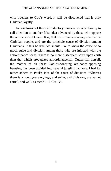with trueness to God's word, it will be discovered that is only Christian loyalty.

In conclusion of these introductory remarks we wish briefly to call attention to another false idea advanced by those who oppose the ordinances of Christ. It is, that the ordinances always divide the Christian people, and are the principle cause of division among Christians. If this be true, we should like to know the cause of so much strife and division among those who are infected with the antiordinance ideas. There is no more dissentient spirit upon earth than that which propagates antiordinanceism. Quakerism herself, the mother of all these God-dishonoring ordinance-opposing heresies, has been divided into several jangling factions. I had far rather adhere to Paul's idea of the cause of division: "Whereas there is among you envyings, and strife, and divisions, are ye not carnal, and walk as men?"—1 Cor. 3:3.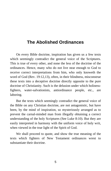#### <span id="page-10-0"></span>**The Abolished Ordinances**

On every Bible doctrine, inspiration has given us a few texts which seemingly contradict the general voice of the Scriptures. This is true of every other, and none the less of the doctrine of the ordinances. Hence, many who do not live near enough to God to receive correct interpretations from him, who only knoweth the word of God (Rev. 19:12,13), often, in their blindness, misconstrue these texts into a deceptive doctrine directly opposite to the pure doctrine of Christianity. Such is the delusion under which holinessfighters, water-salvationists, antiordinance people, etc., are laboring.

But the texts which seemingly contradict the general voice of the Bible on any Christian doctrine, are not antagonistic, but have been, by the mind of inspiration, so mysteriously arranged as to prevent the carnal-minded man from illegally obtaining a correct understanding of the holy Scriptures (See Luke 8:10). But they are easily interpreted in harmony with the uniform voice of holy writ, when viewed in the true light of the Spirit of God.

We shall proceed to quote, and show the true meaning of the texts which fighters of New Testament ordinances wrest to substantiate their doctrine.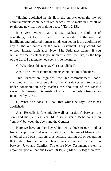"Having abolished in his flesh the enmity, even the law of commandments contained in ordinances; for to make in himself of twain one new man, so making peace" (Eph. 2:15).

It is very evident that this text teaches the abolition of something, but to my mind it is the wonder of the age that intelligent and cultured human minds can see in it the abolition of any of the ordinances of the New Testament. They could not without infernal assistance. Now, Mr. Ordinance-fighter, if you will allow me to cate chise you upon this text, I believe, by the help of the Lord, I can make you see its true meaning.

Q. What does this text say Christ abolished?

Ans. "The law of commandments contained in ordinances."

This expression signifies the ten-commandment code, encircled with all the ceremonies of the Mosaic system. So the text under consideration only teaches the abolition of the Mosaic system. No mention is made of any of the holy observances instituted by Christ.

Q. What else does Paul call that which he says Christ has abolished?

Ans. He calls it "the middle wall of partition" between the Jews and the Gentiles. Ver. 14. Also, in verse 15 he calls it an "enmity" between the Jews and the Gentiles.

Here we have another key which will unlock to our minds a true conception of that which is abolished. The law of Moses only enjoined the Jewish nation, thus actually cutting off or separating that nation from all others; hence was a real wall of partition between Jews and Gentiles. The entire New Testament system is enjoined upon all nations (Matt. 28:19, 20; Mark 16:15); therefore,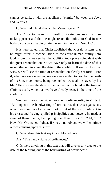cannot be ranked with the abolished "enmity" between the Jews and Gentiles.

Q. Why did Christ abolish the Mosaic system?

Ans. "For to make in himself of twain one new man, so making peace; and that he might reconcile both unto God in one body by the cross, having slain the enmity thereby." Ver. 15:16.

It is here stated that Christ abolished the Mosaic system, that he might effect a reconciliation of the entire human family unto God. From this we see that the abolition took place coincident with the great reconciliation. So we have only to learn the date of this reconciliation, to know the date of the abolition. If we turn to Rom. 5:10, we will see the time of reconciliation clearly set forth: "For if, when we were enemies, we were reconciled to God by the death of his Son, much more, being reconciled, we shall be saved by his life." Here we see the date of the reconciliation fixed at the time of Christ's death, which, as we have already seen, is the time of the abolition.

We will now consider another ordinance-fighters' text: "Blotting out the handwriting of ordinances that was against us, which was contrary to us, and took it out of the way, nailing it to his cross; and, having spoiled principalities and powers, he made a show of them openly, triumphing over them in it (Col. 2:14, 15)." Now, Mr. Ordinance-fighter, if you do not object, we will continue our catechising upon this text.

Q. What does this text say Christ blotted out?

Ans. "The handwriting of ordinances."

Q. Is there anything in this text that will give us any clue to the date of the blotting out of the handwriting of ordinances?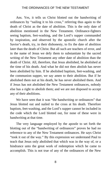Ans. Yes, it tells us Christ blotted out the handwriting of ordinances by "nailing it to his cross," referring thus again to the death of Christ as the date of abolition. This is the only date of abolition mentioned in the New Testament. Ordinance-fighters seeing baptism, feet-washing, and the Lord's supper commanded by inspiration, and observed by the apostolic church after the Savior's death, try, in their dishonesty, to fix the date of abolition later than the death of Christ. But all such are teachers of error, and in the name of Jesus we defy them to substantiate by the sacred writing of the New Testament any other date of abolition than the death of Christ. All, therefore, that Jesus abolished, he abolished at the time of his death. And what he did not then abolish has never been abolished by him. If he abolished baptism, feet-washing, and the communion supper, we say amen to their abolition. But if he abolished them not at his death, he has never abolished them. And if Jesus has not abolished the New Testament ordinances, nobody else has a right to abolish them; and we are not disposed to accept any of their abolitions.

We have seen that it was "the handwriting or ordinances" that Jesus blotted out and nailed to the cross at his death. Therefore baptism, feet-washing, and the Lord's supper cannot be included in the code which the Lord blotted out, for none of these were in handwriting at that time.

The very language employed by the apostle to set forth the blotting out of the "handwriting of ordinances" proves he had no reference to any of the New Testament ordinances. He says Christ "took it out of the way." By this expression we understand Paul to teach that Jesus only abolished that which was in the way of, or a hindrance unto the great work of redemption which he came to accomplish. This is not true of any of the ordinances of the New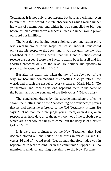Testament. It is not only preposterous, but base and criminal even to think that Jesus would institute observances which would hinder his work of redemption, and which he was compelled to blot out before his plan could prove a success. Such a blunder would prove our Lord not infallible.

The Mosaic law, having been enjoined upon one nation only, was a real hindrance to the gospel of Christ. Under it Jesus could only send his gospel to the Jews, and it was not until the law was abolished at the Savior's death, that the Gentile nations could receive the gospel. Before the Savior's death, both himself and his apostles preached only to the Jews. He forbade his apostles to preach to the Gentiles. Matt. 10:5, 6.

But after his death had taken the law of the Jews out of the way, we hear him commanding his apostles, "Go ye into all the world, and preach the gospel to every creature." Mark 16:15. "Go ye therefore, and teach all nations, baptizing them in the name of the Father, and of the Son, and of the Holy Ghost" (Matt. 28:19).

The conclusion drawn by the apostle immediately after he shows the blotting out of the "handwriting of ordinances," proves that he had exclusive reference to the Old Testament system. He says: "Let no man therefore judge you in meat, or in drink, or in respect of an holy day, or of the new moon, or of the sabbath days: which are a shadow of things to come; but the body is of Christ." Col. 2:16, 17.

If it were the ordinances of the New Testament that Paul declares blotted out and nailed to the cross in verses 14 and 15, verses 16 and 17 would read: "Let no man therefore judge you in baptism, or in feet-washing, or in the communion supper." But no mention is made of anything pertaining to the New Testament.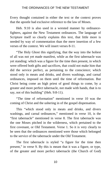Every thought contained in either the text or the context proves that the apostle had exclusive reference to the law of Moses.

Heb. 9:10 is also used in a wrested manner by ordinancefighters, against the New Testament ordinances. The language of Scripture itself so clearly explains this text, that little more is needed by way of commentation than the mere insertion of a few verses of the context. We will insert verses 8-11.

"The Holy Ghost this signifying, that the way into the holiest of all was not yet made manifest, while as the first tabernacle was yet standing: which was a figure for the time then present, in which were offered both gifts and sacrifices, that could not make him that did the service perfect, as pertaining to the conscience; which stood only in meats and drinks, and divers washings, and carnal ordinances, imposed on them until the time of reformation. But Christ being come an high priest of good things to come, by a greater and more perfect tabernacle, not made with hands, that is to say, not of this building" (Heb. 9:8-11).

"The time of reformation" mentioned in verse 10 was the coming of Christ and the ushering in of the gospel dispensation.

This "which stood only in meats and drinks, and divers washings, and carnal ordinances," mentioned in verse 10, is the "first tabernacle" mentioned in verse 8. The first tabernacle was the one Moses pitched in the wilderness, which pertained to the first covenant, or Old Testament. Verse 1. So it is very clearly to be seen that the ordinances mentioned were those which belonged to the service of the tabernacle under the Old Testament.

The first tabernacle is styled "a figure for the time then present," in verse 9. By this is meant that it was a figure, or type, of the greater and more perfect tabernacle (the Church of God)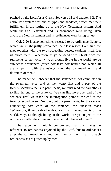pitched by the Lord Jesus Christ. See verse 11 and chapter 8:2. The entire law system was one of types and shadows, which met their fulfillment in the setting up of the New Testament system. And while the Old Testament and its ordinances were being taken away, the New Testament and its ordinances were being set up.

Col. 2:20 is also sometimes resorted to by ordinance-fighters, which we might justly pronounce their last resort. I am sure the text, together with the two succeeding verses, explains itself. Let us quote them. "Wherefore if ye be dead with Christ from the rudiments of the world, why, as though living in the world, are ye subject to ordinances (touch not; taste not; handle not; which all are to perish with the using), after the commandments and doctrines of men?"

The reader will observe that the sentence is not completed in the twentieth verse, and as the twenty-first and a part of the twenty-second verse is in parenthesis, we must read the parenthesis to find the end of the sentence. We can find no proper end of the sentence until we reach the interrogation point at the end of the twenty-second verse. Dropping out the parenthesis, for the sake of connecting both ends of the sentence, the question reads "Wherefore, if ye be dead with Christ from the rudiments of the world, why, as though living in the world, are ye subject to the ordinances, after the commandments and doctrines of men?"

The reader will quickly comprehend that this makes no reference to ordinances enjoined by the Lord, but to ordinances after the commandments and doctrines of men; that is, such ordinances as are gotten up by men.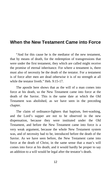#### <span id="page-17-0"></span>**When the New Testament Came into Force**

"And for this cause he is the mediator of the new testament, that by means of death, for the redemption of transgressions that were under the first testament, they which are called might receive the promise of eternal inheritance. For where a testament is, there must also of necessity be the death of the testator. For a testament is of force after men are dead otherwise it is of no strength at all while the testator liveth." Heb. 9:15-17.

The apostle here shows that as the will of a man comes into force at his death, so the New Testament came into force at the death of the Savior. This is the same date at which the Old Testament was abolished, as we have seen in the preceding chapter.

The claim of ordinance-fighters that baptism, feet-washing, and the Lord's supper are not to be observed in the new dispensation, because they were instituted under the Old Testament, and before the New Testament came into force is a very weak argument, because the whole New Testament system was, and of necessity had to be, introduced before the death of the Savior. As we have seen before, the New Testament came into force at the death of Christ, in the same sense that a man's will comes into force at his death; and it would hardly be proper to say an addition to a will would be legal after the testator's death.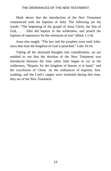Mark shows that the introduction of the New Testament commenced with the baptism of John. The following are his words: "The beginning of the gospel of Jesus Christ, the Son of God, . . . John did baptize in the wilderness, and preach the baptism of repentance for the remission of sins" (Mark 1:1-4).

Jesus also taught, "The law and the prophets were until John: since that time the kingdom of God is preached." Luke 16:16.

Taking all the aforesaid thoughts into consideration, we are enabled to see that the doctrine of the New Testament was introduced between the time when John began to cry in the wilderness, "Repent, for the kingdom of heaven is at hand," and the crucifixion of Christ. As the ordinances of baptism, feetwashing, and the Lord's supper were instituted during that time, they are of the New Testament.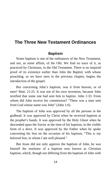#### <span id="page-19-0"></span>**The Three New Testament Ordinances**

#### **Baptism**

Water baptism is one of the ordinances of the New Testament, and not, as some affirm, of the Old. We find no trace of it, as practiced by Christians, in the Old Testament. There is no inspired proof of its existence earlier than John the Baptist; with whose preaching, as we have seen in the previous chapter, begins the introduction of the gospel.

But concerning John's baptism, was it from heaven, or of men? Matt. 21:25. It was not of his own invention, because John testified that some one had sent him to baptize. John 1:33. From whom did John receive his commission? "There was a man sent from God whose name was John" (John 1:6).

The baptism of John was approved by all the persons in the godhead. It was approved by Christ when he received baptism at the prophet's hands. It was approved by the Holy Ghost when he descended upon the Savior at the time of his baptism, in the visible form of a dove. It was approved by the Father when he spoke concerning his Son on the occasion of his baptism, "This is my beloved Son, in whom I am well pleased."

But Jesus did not only approve the baptism of John, he was himself the institutor of a baptism now known as Christian baptism, which, though not differing from the baptism of John with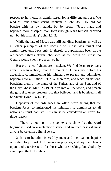respect to its mode, is administered for a different purpose. We read of Jesus administering baptism in John 3:22. He did not baptize with his own hands, but by proxy. "Jesus made and baptized more disciples than John (though Jesus himself baptized not, but his disciples)" John 4:1, 2.

While the law of Moses was still standing, baptism, as well as all other principles of the doctrine of Christ, was taught and administered unto Jews only. If, therefore, baptism had been, as the ordinance-fighters affirm, abolished at the death of Christ, no Gentile would ever have received it.

But ordinance-fighters are mistaken. We find Jesus forty days after his resurrection, upon the mount of Olives just before his ascension, commissioning his ministers to preach and administer baptism unto all nations. "Go ye therefore, and teach all nations, baptizing them in the name of the Father, and of the Son, and of the Holy Ghost" Matt. 28:19. "Go ye into all the world, and preach the gospel to every creature. He that believeth and is baptized shall be saved" (Mark 16:15, 16).

Opposers of the ordinances are often heard saying that the baptism Jesus commissioned his ministers to administer to all nations is spirit baptism. This must be considered an error, for three reasons.

1. There is nothing in the contexts to show that the word *baptize* is used in a metaphoric sense, and in such cases it must always be taken in a literal sense.

2. It is to be administered by men; and men cannot baptize with the Holy Spirit. Holy men can pray for, and lay their hands upon, and exercise faith for those who are seeking; but God only can impart the Holy Ghost.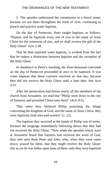3. The apostles understood the commission in a literal sense; because we see them throughout the book of Acts, continuing to preach and practice water baptism.

On the day of Pentecost, Peter taught baptism, as follows: "Repent, and be baptized every one of you in the name of Jesus Christ for the remission of sins, and ye shall receive the gift of the Holy Ghost" Acts 2:38.

That he here enjoined water baptism, is evident from the fact that he makes a distinction between baptism and the reception of the Holy Ghost.

In obedience to Peter's teaching, the three thousand converted on the day of Pentecost proceeded at once to be baptized. It was water baptism that those converts received on that day, because they did not receive the Holy Ghost until a later date. See Acts 4:31.

After the persecution had driven nearly all the members of the church from Jerusalem, we read that "Philip went down to the city of Samaria, and preached Christ unto them" (Acts 8:5).

"But when they believed Philip preaching the things concerning the kingdom of God, and the name of Jesus Christ, they were baptized, both men and women" (v. 12).

The baptism they received at the hands of Philip was of water, because the language immediately following shows that they had not received the Holy Ghost. "Now when the apostles which were at Jerusalem heard that Samaria had received the word of God, they sent unto them Peter and John: who, when they were come down, prayed for them, that they might receive the Holy Ghost: (for as yet he was fallen upon none of them: only they were baptized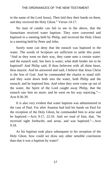in the name of the Lord Jesus). Then laid they their hands on them, and they received the Holy Ghost." Verses 14-17.

No man of candor can fail to see in the above, that the Samaritans received water baptism. They were converted and baptized in a meeting held by Philip, and received the Holy Ghost in a meeting held by Peter and John.

Surely none can deny that the eunuch was baptized in the water. The words of Scripture are sufficient to settle this point. "And as they went on their way, they came unto a certain water: and the eunuch said, See here is water; what doth hinder me to be baptized? And Philip said, If thou believest with all thine heart, thou mayest. And he answered and said, I believe that Jesus Christ is the Son of God. And he commanded the chariot to stand still: and they went down both into the water, both Philip and the eunuch; and he baptized him. And when they were come up out of the water, the Spirit of the Lord caught away Philip, that the eunuch saw him no more: and he went on his way rejoicing."— Acts 8:36-39.

It is also very evident that water baptism was administered in the case of Paul. For after Ananias had laid his hands on Paul for the reception of the Holy Ghost, he commanded him to arise and be baptized.—Acts 9:17, 22:16. And we read of him, that, "he received sight forthwith, and arose, and was baptized."—Acts 9:18.

As his baptism took place subsequent to his reception of the Holy Ghost, how could we draw any other sensible conclusion than that it was a baptism by water?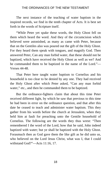The next instance of the teaching of water baptism in the inspired records, we find in the tenth chapter of Acts. It is best set forth in the words of Scripture itself.

"While Peter yet spake these words, the Holy Ghost fell on them which heard the word. And they of the circumcision which believed were astonished, as many as came with Peter, because that on the Gentiles also was poured out the gift of the Holy Ghost. For they heard them speak with tongues, and magnify God. Then answered Peter, Can any man forbid water, that these should not be baptized, which have received the Holy Ghost as well as we? And he commanded them to be baptized in the name of the Lord."— Verses 44-48.

That Peter here taught water baptism to Cornelius and his household is too clear to be denied by any one. They had received the Holy Ghost after which Peter asked, "Can any man forbid water," etc., and then he commanded them to be baptized.

But the ordinance-fighters claim that about this time Peter received different light, by which he saw that previous to this time he had been in error on the ordinance question, and that after this date he ceased to teach and administer water baptism. This they gather from his words before the church at Jerusalem, when they held him at fault for preaching unto the Gentile household of Cornelius. The following are the words they thus wrest: "Then remembered I the word of the Lord, how that he said, John indeed baptized with water; but ye shall be baptized with the Holy Ghost. Forasmuch then as God gave them the like gift as he did unto us, who believed on the Lord Jesus Christ, what was I, that I could withstand God?"—Acts 11:16, 17.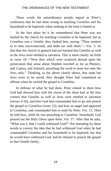These words the antiordinance people regard as Peter's confession that he had done wrong in teaching Cornelius and his household to be baptized; when nothing of the kind is hinted at.

In the first place let it be remembered that Peter was not faulted by the church for teaching Cornelius to be baptized; but as Cornelius was a Gentile, they faulted him, saying, "Thou wentest in to men uncircumcised, and didst eat with them."—Ver. 3. At that date the church in general had not learned that Gentiles as well as the Jews were entitled to salvation. This is more clearly set forth in verse 19—"Now they which were scattered abroad upon the persecution that arose about Stephen traveled as far as Phenice, and Cyprus, and Antioch, preaching the word to none but unto the Jews only." Thinking, as the above clearly shows, that none but Jews were to be saved, they thought Peter had committed an offense when he carried the gospel to Cornelius.

In defense of what he had done, Peter related to them how God had showed him with the vision of the sheet knit at the four corners that Gentiles as well as Jews were entitled to salvation (verses 4-10); and how God had commanded him to go and preach the gospel to Cornelius (verse 12); and how an angel had appeared to Cornelius, and commanded him to send for Peter. Ver. 13. Then he told how, while he was preaching to Cornelius' household, God poured out the Holy Ghost upon them. Ver. 17. After that he asks, "What was I, that I could withstand God?" Not intending by these words to convey the idea that he had withstood God when he had commanded Cornelius and his household to be baptized; but that he would have withstood God, had he refused to preach the gospel to that Gentile family.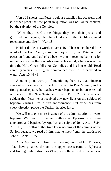Verse 18 shows that Peter's defense satisfied his accusers, and is further proof that the point in question was not water baptism, but the salvation of the Gentiles.

"When they heard these things, they held their peace, and glorified God, saying, Then hath God also to the Gentiles granted repentance unto life."—Ver. 18.

Neither do Peter's words in verse 16, "Then remembered I the word of the Lord," etc., show, as they affirm, that Peter on that occasion found out that he had been wrong in teaching baptism; for immediately after these words came to his mind, which was at the time the Holy Ghost fell upon Cornelius and his household (Read carefully verses 15, 16.), he commanded them to be baptized in water. Acts 10:44-48.

Another point worthy of mentioning here is, that nineteen years after these words of the Lord came into Peter's mind, in his first general epistle, he teaches water baptism to be an essential ordinance of the New Testament. See 1 Pet. 3:21. So it is very evident that Peter never received any new light on the subject of baptism, causing him to turn antiordinance. But evidences from every direction prove the Quaker theories false.

We will cite one more instance of the administration of water baptism. We read of twelve brethren at Ephesus who were converted and baptized by Apollos, a disciple of John. Acts 18:24- 28; 19:3, 7. Apollos at that time knew nothing of the coming of the Savior, because we read of him, that he knew "only the baptism of John."—Acts 18:25.

After Apollos had closed his meeting, and had left Ephesus, "Paul having passed through the upper coasts came to Ephesus; and finding certain disciples (They were those twelve converts of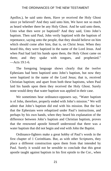Apollos.), he said unto them, Have ye received the Holy Ghost since ye believed? And they said unto him, We have not so much as heard whether there be any Holy Ghost. And he said unto them, Unto what then were ye baptized? And they said, Unto John's baptism. Then said Paul, John verily baptized with the baptism of repentance, saying unto the people, that they should believe on him which should come after him, that is, on Christ Jesus. When they heard this, they were baptized in the name of the Lord Jesus. And when Paul had laid his hands upon them, the Holy Ghost came on them; and they spake with tongues, and prophesied."  $-$ Acts 19:1-6.

The foregoing language shows clearly that the twelve Ephesians had been baptized unto John's baptism, but now they were baptized in the name of the Lord Jesus; that is, received Christian baptism; and apart from both these baptisms, when Paul laid his hands upon them they received the Holy Ghost. Surely none would deny that water baptism was applied in their case.

We sometimes hear ordinance-opposers say, "Water baptism is of John, therefore, properly ended with John's mission." We will admit that John's baptism did end with his mission. But the fact that the Ephesians were rebaptized under Paul's instructions, and perhaps by his own hands, when they heard his explanation of the difference between John's baptism and Christian baptism, proves that the renowned apostle himself understood that there was a water baptism that did not begin and end with John the Baptist.

Ordinance-fighters make a great hobby of Paul's words in the first chapter of 1 Corinthians. But, as with other Scriptures, they place a different construction upon them from that intended by Paul. Surely it would not be sensible to conclude that this great apostle taught against baptism in his first epistle to the Cor., when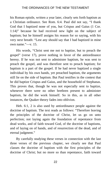his Roman epistle, written a year later, clearly sets forth baptism as a Christian ordinance. See Rom. 6:4. Paul did not say, "I thank God that I baptized none of you, but Crispus and Gaius (1 Cor. 1:14)" because he had received new light on the subject of baptism; but he himself assigns his reason for so saying, with his very next breath: "Lest any should say that I had baptized in mine own name."—v. 15.

His words, "Christ sent me not to baptize, but to preach the gospel" (verse 17), prove nothing in favor of the antiordinance heresy. If he was not sent to administer baptism, he was sent to preach the gospel, and was therefore sent to preach baptism; for baptism is a part of the gospel. If he had never baptized a single individual by his own hands, yet preached baptism, the arguments still lie on the side of baptism. But Paul testifies in the contest that he did baptize Crispus and Gaius, and the household of Stephanas. This proves that, though he was not especially sent to baptize, whenever there were no other brethren present to administer baptism, he did the work himself. So in this, as in all other instances, the Quaker theory fades into oblivion.

Heb. 6:1, 2 is also used by antiordinance people against the doctrine of baptism. The text reads as follows: "Therefore leaving the principles of the doctrine of Christ, let us go on unto perfection; not laying again the foundation of repentance from dead works, and of faith toward God, of the doctrine of baptisms, and of laying on of hands, and of resurrection of the dead, and of eternal judgment."

By carefully studying these verses in connection with the last three verses of the previous chapter, we clearly see that Paul classes the doctrine of baptism with the first principles of the doctrine of Christ; but no more so than repentance, faith toward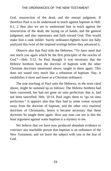God, resurrection of the dead, and the eternal judgment. If therefore Paul is to be understood to teach against baptism in Heb. 6:1, 2 then also we are to understand him to teach against the resurrection of the dead, the laying on of hands, and the general judgment; and also repentance and faith toward God. This would make him a rank infidel. Surely ordinance-fighters have not fully analyzed this twist of the inspired writings before they advanced it.

Observe also that Paul tells the Hebrews, "Ye have need that one teach you again which be the first principles of the oracles of God."—Heb. 5:12. So Paul thought it was necessary that the Hebrew brethren have the doctrine of baptism with the other Christian doctrines mentioned above, taught to them again. This does not sound very much like a refutation of baptism. Nay, it establishes it more and more as a Christian ordinance.

The true teaching of Paul unto the Hebrews, in the texts cited above, might be summed up as follows: The Hebrew brethren had been converted, but had not gone on unto perfection; that is, had not been sanctified. Heb. 10:14. Paul urges them to "go on unto perfection." It appears also that they had to some extent strayed away from the doctrine of baptism, and the other very essential doctrines of Christianity, hence it became necessary that these doctrines be taught them again. How any man can see in this the least argument against water baptism is a mystery to me.

We believe that we have now produced abundant evidence to convince any teachable person that baptism is an ordinance of the New Testament, and we leave the subject with you in the fear of God.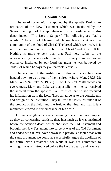#### **Communion**

The word *communion* is applied by the apostle Paul to an ordinance of the New Testament which was instituted by the Savior the night of his apprehension; which ordinance is also denominated, "The Lord's Supper." The following are Paul's words: "The cup of blessing which we bless, is it not the communion of the blood of Christ? The bread which we break, is it not the communion of the body of Christ?"—1 Cor. 10:16. Nothing is more evident than that Paul here refers to the observance by the apostolic church of the very commemorative ordinance instituted by our Lord the night he was betrayed by Judas; of which he says they all partook. Verse 17.

The account of the institution of this ordinance has been handed down to us by four of the inspired writers. Matt. 26:26-28; Mark 14:22-24; Luke 22:19, 20; 1 Cor. 11:23-29. Matthew was an eye witness. Mark and Luke were apostolic men; hence, received the account from the apostles. Paul testifies that he had received his information from the Lord. They all agree as to the constituents and design of the institution. They tell us that Jesus instituted it of the product of the field, and the fruit of the vine; and that it is a monument erected in remembrance of his death.

Ordinance-fighters argue concerning the communion supper as they do concerning baptism, that, inasmuch as it was instituted before the Savior's death, which abolished the Old Testament and brought the New Testament into force, it was of the Old Testament and ended with it. We have shown in a previous chapter that with the same argument we could as successfully argue the abolition of the entire New Testament, for while it was not committed to writing, it was all introduced before the Lord's death; and now we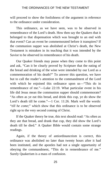will proceed to show the foolishness of the argument in reference to the ordinance under consideration.

This ordinance, as we have seen, was to be observed in remembrance of the Lord's death. How then say the Quakers that it belonged to that dispensation which was brought to an end with that event? Can an event be commemorated before it transpires? If the communion supper was abolished at Christ's death, the New Testament is mistaken in its teaching that it was intended by the Savior to be observed in remembrance of his death.

Our Quaker friends may pause when they come to this point and ask, "Can it be clearly proved by Scripture that the eating of the bread and drinking of the wine were intended by our Lord as a commemoration of his death?" To answer this question, we have but to call the reader's attention to the commandment of the Lord with which he enjoined this ordinance upon us—"This do in remembrance of me."—Luke 22:19. What particular event in his life did Jesus mean the communion supper should commemorate? "As often as ye eat this bread, and drink this cup, ye do show the Lord's death till he come."—1 Cor. 11:26. Mark well the words: "*till he come*;" which show that this ordinance is to be observed right up to the very second coming of Christ.

If the Quaker theory be true, this text should read: "As often as they ate that bread, and drank that cup, they did show the Lord's death till he died." A Quaker Bible would contain some strange readings.

Again, if the theory of antiordinanceism is correct, this ordinance was abolished no later than twenty hours after it had been instituted, and the apostles had not a single opportunity of obeying the commandment, "This do in remembrance of me." Surely Quakerism is a mass of confusion.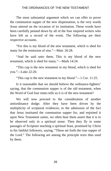The most substantial argument which we can offer to prove the communion supper of the new dispensation, is the very words Jesus uttered on the occasion of its institution. These words have been carefully penned down by all of the four inspired writers who have left us a record of the event. The following are their respective accounts.

"For this is my blood of the new testament, which is shed for many for the remission of sins."—Matt. 26:28.

"And he said unto them, This is my blood of the new testament, which is shed for many."—Mark 14:24.

"This cup is the new testament in my blood, which is shed for you."—Luke 22:20.

"This cup is the new testament in my blood."—1 Cor. 11:25.

Is it reasonable that we should believe the ordinance-fighters' saying, that the communion supper is of the old testament, when the Word of God four times tells us it is of the new testament?

We will now proceed to the consideration of another antiordinance dodge. After they have been driven by the multiplicity of scriptural evidences, to the admission of the fact that Jesus instituted the communion supper for, and enjoined it upon New Testament saints, we often hear them assert that it is to be observed only in a spiritual sense. Then they fly to some passages of Scripture teaching a spiritual feast, promised by Christ to his faithful followers, saying, "These set forth the true supper of the Lord." The following are among the principle texts thus used by them.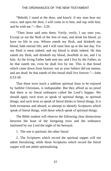"Behold, I stand at the door, and knock: if any man hear my voice, and open the door, I will come in to him, and sup with him, and he with me."—Rev. 3:20.

"Then Jesus said unto them, Verily, verily, I say unto you, Except ye eat the flesh of the Son of man, and drink his blood, ye have no life in you. Whoso eateth my flesh, and drinketh my blood, hath eternal life; and I will raise him up at the last day. For my flesh is meat indeed, and my blood is drink indeed. He that eateth my flesh, and drinketh my blood, dwelleth in me, and I in him. As the living Father hath sent me, and I live by the Father; so he that eateth me, even he shall live by me. This is that bread which came down from heaven: not as your fathers did eat manna, and are dead: he that eateth of this bread shall live forever."—John 6:53-58.

That these texts teach a sublime spiritual feast to be enjoyed by faithful Christians, is indisputable. But they afford us no proof that there is no literal ordinance called the Lord's Supper. We should apply such texts as speak of spiritual things, to spiritual things; and such texts as speak of literal thinks to literal things. It is both erroneous and absurd, to attempt to identify Scriptures which speak of literal things, with those which speak of spiritual things.

The Bible student will observe the following clear distinctions between the feast of the foregoing texts and the ordinance instituted by our Lord the night of his betrayal.

1. The one is spiritual; the other literal.

2. The Scriptures which record the spiritual supper will not admit literalizing; while those Scriptures which record the literal supper will not admit spiritualizing.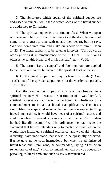3. The Scriptures which speak of the spiritual supper are addressed to sinners; while those which speak of the literal supper are addressed to Christians.

4. The spiritual supper is a continuous feast. When we open our heart unto him who stands and knocks at the door, he does not come in as a guest to dine with us and then depart, but he says, "We will come unto him, and make our abode with him."—John 14:23. The literal supper is to be eaten at intervals. "This do ye, as oft as ye drink it, in remembrance of me."—1 Cor. 11:25. "For as often as ye eat this bread, and drink this cup," etc.—V. 26.

5. The terms "Lord's supper" and "communion" are applied to the literal ordinance, but never to the spiritual feast of the soul.

6. Of the literal supper men may partake unworthily (1 Cor. 11:27), but of the spiritual supper none but the worthy can partake. 1 Cor. 10:21.

Can the communion supper, in any case, be observed in a spiritual manner? No, because the institution of it was literal. A spiritual observance can never be reckoned in obedience to a commandment to imitate a literal exemplification. Had Jesus exemplified in a spiritual manner the communion supper (a thing indeed impossible), it would have been of a spiritual nature, and could have been observed only in a spiritual manner. Or if, when he had literally exemplified this ordinance, he had made the statement that he was intending only to teach a spiritual lesson, he would have instituted a spiritual ordinance; and we could, without difficulty, have understood that it was to be spiritually observed. But he gave us no such instructions, but when he administered literal bread and literal wine, he commanded, saying, "This do in remembrance of me," which commandment can only be obeyed by partaking of literal emblems such as Jesus administered.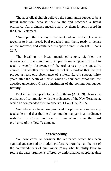The apostolical church believed the communion supper to be a literal institution, because they taught and practiced a literal ordinance. An ordinance meeting held by them is upon record in the New Testament.

"And upon the first day of the week, when the disciples came together to break bread, Paul preached unto them, ready to depart on the morrow; and continued his speech until midnight."—Acts  $20:7$ 

The breaking of bread mentioned above, signifies the observance of the communion supper. Some suppose this text to teach a weekly observance of the ordinances by the apostolic church. But whether this be true or not it is evident that the text proves at least one observance of a literal Lord's supper, thirty years after the death of Christ, which is abundant proof that the apostles understood Christ's institution of the communion supper literally.

Paul in his first epistle to the Corinthians (A.D. 59), classes the ordinance of communion with the ordinances of the New Testament, which he commanded them to observe. 1 Cor. 11:2, 23-25.

We believe we have now produced Scriptures to convince any teachable mind that the literal communion supper is an ordinance instituted by Christ, and we turn our attention to the third ordinance of the New Testament.

#### **Feet-Washing**

We now come to consider the ordinance which has been spurned and scorned by modern professors more than all the rest of the commandments of our Savior. Many who faithfully labor to refute the false arguments offered by antiordinance people against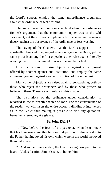the Lord's supper, employ the same antiordinance arguments against the ordinance of feet-washing.

The most prominent religious sects disdain the ordinancefighter's argument that the communion supper was of the Old Testament; yet they do not scruple to offer the same antiordinance theory against the observance of the ordinance of feet-washing.

The saying of the Quakers, that the Lord's supper is to be spiritually observed, they regard as an outrage on the Bible, yet the same proof is among the first objections they raise against literally obeying the Lord's command to wash one another's feet.

How inconsistent to raise objections against an argument offered by another against one institution, and employ the same argument yourself against another institution of the same rank.

Many other objections are raised against feet-washing, both by those who reject the ordinances and by those who profess to believe in them. These we will refute in this chapter.

The institutions of the ordinance under consideration is recorded in the thirteenth chapter of John. For the convenience of the reader, we will insert the entire account, dividing it into verses as in the Bible; thus making it possible to find any quotation, hereafter referred to, at a glance.

#### **St. John 13:1-17**

1. "Now before the feast of the passover, when Jesus knew that his hour was come that he should depart out of this world unto the Father, having loved his own which were in the world, he loved them unto the end.

2. And supper being ended, the Devil having now put into the heart of Judas Iscariot, Simon's son, to betray him;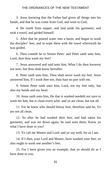3. Jesus knowing that the Father had given all things into his hands, and that he was come from God, and went to God;

4. He riseth from supper, and laid aside his garments; and took a towel, and girded himself.

5. After that he poured water into a basin, and began to wash the disciples' feet, and to wipe them with the towel wherewith he was girded.

6. Then cometh he to Simon Peter: and Peter saith unto him, Lord, dost thou wash my feet?

7. Jesus answered and said unto him, What I do thou knowest not now; but thou shalt know hereafter.

8. Peter saith unto him, Thou shalt never wash my feet. Jesus answered him, If I wash thee not, thou hast no part with me.

9. Simon Peter saith unto him, Lord, not my feet only, but also my hands and my head.

10. Jesus saith unto him, He that is washed needeth not save to wash his feet, but is clean every whit: and ye are clean, but not all.

11. For he knew who should betray him; therefore said he, Ye are not all clean.

12. So after he had washed their feet, and had taken his garments, and was set down again, he said unto them, Know ye what I have done to you?

13. Ye call me Master and Lord: and ye say well; for so I am.

14. If I then, your Lord and Master, have washed your feet; ye also ought to wash one another's feet.

15. For I have given you an example, that ye should do as I have done to you.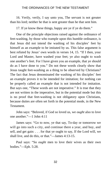16. Verily, verily, I say unto you, The servant is not greater than his lord; neither he that is sent greater than he that sent him.

17. If ye know these things, happy are ye if ye do them."

One of the principle objections raised against the ordinance of feet-washing, by those who trample upon this humble ordinance, is that Jesus did not intend the washing of his disciples' feet by himself as an example to be imitated by us. This false argument is best refuted by Jesus' own words in verses 14, 15. "If I then, your Lord and Master, have washed your feet; ye also ought to wash one another's feet. For I have given you an example, that ye should do as I have done to you." Do not these words clearly show that Jesus taught feet-washing as a thing to be observed by Christians? The fact that Jesus denominated the washing of his disciples' feet an example proves it to be intended for imitation; for nothing can be properly called an example that is not intended for imitation. But says one, "These words are not imperative." It is true that they are not written in the imperative, but in the potential mode but this is no proof that feet-washing is not obligatory upon Christians, because duties are often set forth in the potential mode, in the New Testament.

John says: "Beloved, if God so loved us, we *ought* also to love one another."—1 John 4:11

James says: "Go to now, ye that say, To-day or tomorrow we will go into such a city, and continue there a year, and buy, and sell, and get gain: . . . for that ye ought to say, If the Lord will, we shall live, and do this, or that."—James 4:13-15.

Paul says: "So *ought* men to love their wives as their own bodies."—Eph. 5:28.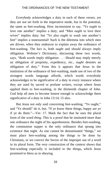Everybody acknowledges a duty in each of these verses; yet they are not set forth in the imperative mode, but in the potential, the same as feet-washing. How inconsistent to say, "Ye *ought* to love one another" implies a duty; and "Men *ought* to love their wives" implies duty; but "Ye also *ought* to wash one another's feet" implies a nonessential! Such is the dilemma into which men are driven, when they endeavor to explain away the ordinance of feet-washing. The fact is, both *ought* and *should* always imply obligation. Webster's Dictionary, discussing these two words, says, "Both words imply obligation . . . *Should* may imply merely an obligation of propriety, expediency, etc., *ought* denotes an obligation of duty." From this it appears that Jesus in the institution of the ordinance of feet-washing, made use of two of the strongest words language affords, which words everybody acknowledges to be significative of a duty in every instance where they are used by sacred or profane writers, except where Jesus applied them to feet-washing, in the thirteenth chapter of John. God help all men to become honest enough to acknowledge them significative of a duty in John 13:14, 15 also.

But Jesus not only said concerning feet-washing, "Ye ought," and "Ye should" do it, but, "If ye know these things, happy are ye if ye do them."—Ver. 17. Mark the fact that he uses the plural form of the word *thing*. This is a proof that he instituted more than one ordinance the night of his apprehension. Besides feet-washing, the communion supper is the only ordinance that sprang into existence that night. As *one* cannot be denominated "things," we must place feet-washing among the things to be done by Christians, or we convict the Savior of the improper use of a word in its plural form. The very construction of the context shows that feet-washing especially is included in the *things***,** which Jesus promised to bless us in obeying.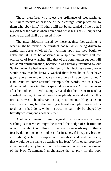Those, therefore, who reject the ordinance of feet-washing, will fail to receive at least one of the blessings Jesus promised "to them who obey him." If others will not be persuaded of the truth, I myself feel the safest when I am doing what Jesus says I *ought* and *should* do, and shall be blessed if I do.

The next objection raised by those against feet-washing is what might be termed the spiritual dodge. After being driven to admit that Jesus enjoined feet-washing upon us, they begin to argue that it is to be observed in a spiritual manner. But the ordinance of feet-washing, like that of the communion supper, will not admit spiritualization, because it was literally instituted by our Savior. After he had washed the feet of his disciples (Surely none would deny that he literally washed their feet), he said, "I have given you an example, that ye should do as I have done to you." Had Jesus set some spiritual example, the words, "do as I have done" would have implied a spiritual observance. Or had he, even after he had set a literal example, stated that he meant to teach a spiritual lesson, it would have been plainly understood that this ordinance was to be observed in a spiritual manner. He gave us no such instructions, but after setting a literal example, instructed us to do as he had done, which instructions can only be obeyed by literally washing one another's feet.

Another argument offered against the observance of feetwashing is that which might be termed the dodge of substitution; which runs about as follows: "I believe I can wash my brother's feet by doing him some kindness; for instance, if I keep my brother all night, give him his supper and breakfast, and feed his horse, that would be the same as washing his feet." With equal propriety a man might justify himself in disobeying any other commandment of the New Testament. I might argue that to pray for the poor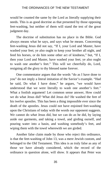would be counted the same by the Lord as literally supplying their needs. This is as good doctrine as that presented by those opposing feet-washing, but neither of them will stand the test of the great judgment day.

The doctrine of substitution has no place in the Bible. God always means what he says, and says what he means. Concerning feet-washing Jesus did not say, "If I, your Lord and Master, have washed your feet; ye also ought to keep your brother all night, and feed his horses, or do him some other act of kindness," but, "If I, then your Lord and Master, have washed your feet; ye also ought to wash one another's feet." This will we cheerfully do, Lord, resigning all the glory to thy blessed name forever.

One commentator argues that the words "do as I have done to you" do not imply a literal imitation of the Savior's example. "Had he said, Do what I have done," he argues, "we would have understood that we were literally to wash one another's feet." What a foolish argument! Let common sense answer, How could we do what Jesus did? What did Jesus do? He washed the feet of his twelve apostles. This has been a thing impossible ever since the death of the apostles. Jesus could not have enjoined feet-washing upon the Christians of today with the words our opponent suggests. We cannot do *what* Jesus did, but we can do *as* he did, by laying aside our garments, and taking a towel, and girding ourself, and pouring water into a basin, and washing somebody's feet, and wiping them with the towel wherewith we are girded.

Another false claim made by those who reject this ordinance, is that the feet-washing of John 13, was a mere Jewish custom, and belonged to the Old Testament. This idea is as truly false as any of those we have already considered, which the record of the ordinance in question alone, will show. It appears that Peter was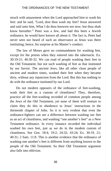struck with amazement when the Lord approached him to wash his feet: and he said, "Lord, dost thou wash my feet? Jesus answered and said unto him, What I do thou knowest not now; but thou shalt know hereafter." Peter was a Jew, and had this been a Jewish ordinance, he would have known all about it. The fact is, Peter had never seen nor heard of such an observance as Jesus was there instituting; hence, his surprise at his Master's conduct.

The law of Moses gave no commandment for washing feet, except for the priests when they entered into the tabernacle. Ex. 30:19-21; 40:30-32. We can read of people washing their feet in the Old Testament; but not such washing of feet as that instituted by our Savior. The ancient Jews, like all other clean people of ancient and modern times, washed their feet when they became dirty, without any injunction from the Lord. But this has nothing to do with the ordinance instituted by our Lord.

Do not modern opposers of the ordinance of feet-washing, wash their feet as a custom of cleanliness? They, therefore, practice all the feet-washing recorded of common people among the Jews of the Old Testament, yet none of them will venture to claim they do this in obedience to Jesus' instructions in the thirteenth chapter of John. So it is very evident that even the ordinance-fighters can see a difference between washing our feet as an act of cleanliness, and washing "one another's feet" as a New Testament ordinance. In every instance recorded the individual washed his own feet, just as we do in the modem custom of cleanliness. See Gen. 18:4; 19:2; 24:32; 43:24; Ex. 30:19, 21; 40:31; 2 Sam. 11:8. This is another evidence that the ordinance of washing one another's feet is different from anything known to the people of the Old Testament. So their Old Testament argument also falls into oblivion.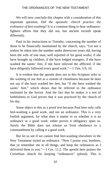We will now conclude this chapter with a consideration of this important question, *Did the apostolic church practice the ordinance of feet-washing*? It is a common thing to hear ordinancefighters affirm that they did not, but ancient records speak differently.

Paul in his instructions to Timothy, concerning the number of those to be financially maintained by the church, says, "Let not a widow be taken into the number under threescore years old, having been the wife of one man, well reported of for good works; if she have brought up children, if she have lodged strangers, if she have washed the saints' feet, if she have relieved the afflicted, if she have diligently followed every good work."—1 Tim. 5:9, 10.

It is evident that the apostle does not in this Scripture refer to the washing of our feet as a custom of cleanliness because he does not say if she have washed her feet, but "if she have washed the saints' feet," which shows that he referred to the ordinance instituted by the Savior. And the fact that he makes it a test of faithfulness to God proves that it was practiced by the church of his day.

Some object to this as a proof text because Paul here only calls feet-washing a good work, and not an ordinance. This is a very foolish argument, for what does it matter to us whether it is an ordinance or a good work: either proves it obligatory upon us. Surely the Bible does not release us from obedience to a commandment by calling it a good work.

But let us see if we cannot find feet-washing elsewhere in the New Testament styled an ordinance. "Now I praise you, brethren, that ye remember me in all things, and keep the ordinances as I delivered them to you."—1 Cor. 11:2. The apostle here praises the Corinthian church for keeping "ordinances" (plural). This is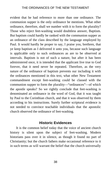evident that he had reference to more than one ordinance. The communion supper is the only ordinance he mentions. What other ordinance, therefore, shall we number with it to form the plurality? Those who reject feet-washing would doubtless answer, Baptism. But baptism could hardly be ranked with the communion supper as an ordinance of the class described by the language employed by Paul. It would hardly be proper to say, I praise you, brethren, that ye keep baptism as I delivered it unto you, because such language is applicable only to such ordinances as are to be observed at intervals. Baptism is not of such a nature, but after it has been administered once, it is intended that the applicant live true to God forever, that it need never be repeated. Therefore, as the very nature of the ordinance of baptism prevents our including it with the ordinances mentioned in this text, what other New Testament commandment except feet-washing could be classed with the communion supper to form the plurality—"ordinances"—of which the apostle speaks? So we rightly conclude that feet-washing is denominated an ordinance in the word of God, that it was taught by Paul to the Corinthian church, and that it was observed by them according to his instructions. Surely further scriptural evidence is not needed to convince teachable individuals that the apostolic church observed the ordinance of feet-washing.

# **Historic Evidences**

It is the common belief today that the voice of ancient church history is silent upon the subject of feet-washing. Modern historians pass over it in silence, as though it found no part of Christianity; but the church fathers make occasional reference to it in such terms as will warrant the belief that the church universally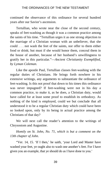continued the observance of this ordinance for several hundred years after our Savior's ascension.

Tertullian, who wrote near the close of the second century, speaks of feet-washing as though it was a common practice among the saints of his time. "Tertullian urges it as one strong objection to the marriage of a Christian woman with an unbeliever, that she could . . . not wash the feet of the saints, nor offer to them either food or drink; but must if she would honor them, conceal them in the house of another, because of her husband's unwillingness to gratify her in this particular."—*Ancient Christianity Exemplified, by Lyman Coleman.*

Like the apostle Paul, Tertullian classes feet-washing with the regular duties of Christians. He brings forth nowhere in his extensive writings, any arguments to substantiate the ordinance of feet-washing. Is this not proof that down to his times this ordinance was never impugned? If feet-washing were not in his day a common practice, to make it, as he does, a Christian duty, would have called for at least some proof to establish its orthodoxy. As nothing of the kind is employed, could we but conclude that all understood it to be a regular Christian duty which could have been so looked upon, only by its being in actual practice among the Christians of that day?

We will next call the reader's attention to the writings of Chrysostom and Augustine.

*Homily on St. John, No. 71, which is but a comment on the 13th chapter of John.*

"Ver. 14, 15. 'If I then,' he saith, 'your Lord and Master have washed your feet, ye ought also to wash one another's feet. For I have given you an example, that ye should do as I have done to you.'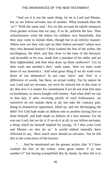"And yet it is not the same thing, for he is Lord and Master, but ye are fellow-servants one of another. What meaneth then the 'as'? 'With the same zeal.' For on this account he taketh instances from greater actions that we may, if so be, perform the less. Thus schoolmasters write the letters for children very beautifully, that they may come to imitate them, though but in an inferior manner. Where now are they who spit on their fellow-servants? where now they who demand honors? Christ washed the feet of the traitor, the sacrilegious, the thief, and that close to the time of the betrayal, and incurable as he was, made him a partaker of his table; and art thou highminded, and dost thou draw up thine eyebrows? 'Let us then wash one another's feet,' saith some, 'then we must wash those of our domestics.' And what great thing if we do wash even those of our domestics? In our case 'slave' and 'free' is a difference of words, but there, an actual reality. For by nature he was Lord and we servants, yet even he refused not at this time to do. But now it is matter for contentment if we do not treat free men as bondsmen, as slaves bought with money. And what shall we say in that day, if after receiving proofs of such forbearance, we ourselves do not imitate them at all, but take the contrary part, being in diametrical opposition, lifted up, and not discharging the debt? For God hath made us debtors one to another having first so done himself, and hath made us debtors of a less amount. For he was our Lord, but we do it, if we do it at all, to our fellow-servants, a thing which he himself implied by saying, 'If I then your Lord and Master—so also do ye.' It would indeed naturally have followed to say, 'How much more should ye servants,' but he left this to the conscience of the hearers.

". . . And he mentioned not the greater action, that 'if I have washed the feet of the traitor, what great matter if ye one another's?' but having exemplified this by deeds, he then left it to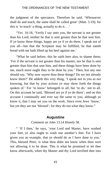the judgment of the spectators. Therefore he said, 'Whosoever shall do and teach, the same shall be called great' (Matt. 5:19); for this is 'to teach' a thing, actually to do it. . .'

"Ver. 16-18, 'Verily I say unto you, the servant is not greater than his Lord, neither he that is sent greater than he that sent him. If ye know these things, happy are ye if ye do them. I speak not of you all—but that the Scripture may be fulfilled, he that eateth bread with me hath lifted up his heel against me.'

"What he said before, this he saith here also, to shame them; 'For if the servant is not greater than his master, nor he that is sent greater than him that sent him, and these things have been done by me, much more ought they to be done by you.' Then, lest any one should say, 'Why now sayest thou these things? Do we not already know them?' He addeth this very thing, 'I speak not to you as not knowing, but that by your actions ye may show forth the things spoken of.' For 'to know' belongeth to all; but 'to do,' not to all. On this account he said, 'Blessed are ye if ye do them'; and on this account I continually and ever say the same to you, although ye know it, that I may set you on the work. Since even Jews 'know,' but yet they are not 'blessed'; for they do not what they know."

# **Augustine**

#### *Comment on John* 13:14 *Homily* 58.

" 'If I then,' he says, 'your Lord and Master, have washed your feet, ye also ought to wash one another's feet. For I have given you an example, that ye should do as I have done to you.' This, blessed Peter, is what thou didst not know when thou wert not allowing it to be done. This is what he promised to let thee know afterwards, when thy Master and thy Lord terrified thee into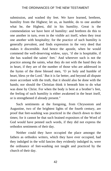submission, and washed thy feet. We have learned, brethren, humility from the Highest; let us, as humble, do to one another what he, the Highest, did in his humility. Great is the commendation we have here of humility: and brethren do this to one another in turn, even in the visible act itself, when they treat one another with hospitality; for the practice of such humility is generally prevalent, and finds expression in the very deed that makes it discernible. And hence the apostle, when he would commend the well-deserving widow, says, 'if she is hospitable, if she has washed the saints' feet.' And wherever such is not the practice among the saints, what they do not with the hand they do in heart, if they are of the number of those who are addressed in the hymn of the three blessed men, 'O ye holy and humble of heart, bless ye the Lord.' But it is far better, and beyond all dispute more accordant with the truth, that it should also be done with the hands; nor should the Christian think it beneath him to do what was done by Christ. For when the body is bent at a brother's feet, the feeling of such humility is either awakened in the heart itself, or is strengthened if already present."

Such sentiments at the foregoing, from Chrysostom and Augustine, two of the brightest lights of the fourth century, are proof that feet-washing was practiced in the church down to their times; for it cannot be that such brained expositors of the Word of God would have penned such words, if they did not express the orthodox sentiments of their day.

Neither could they have occupied the place amongst the fathers as orthodox writers, which they have ever occupied, had they indulged in the wild fancies they evidently indulged in, were the ordinance of feet-washing not taught and practiced by the church of their day.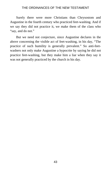Surely there were more Christians than Chrysostom and Augustine in the fourth century who practiced feet-washing. And if we say they did not practice it, we make them of the class who "say, and do not."

But we need not conjecture, since Augustine declares in the above concerning the visible act of feet-washing, in his day, "The practice of such humility is generally prevalent." So anti-feetwashers not only make Augustine a hypocrite by saying he did not practice feet-washing, but they make him a liar when they say it was not generally practiced by the church in his day.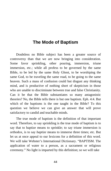# **The Mode of Baptism**

Doubtless no Bible subject has been a greater source of controversy than that we are now bringing into consideration. Some favor sprinkling, other pouring, immersion, triune immersion, etc.; while all profess to be governed by the same Bible, to be led by the same Holy Ghost, to be worshiping the same God, to be traveling the same road, to be going to the same heaven. Such a mass of confusion could but disgust any thinking mind, and is productive of nothing short of skepticism in those who are unable to discriminate between true and false Christianity. Can it be that the Bible substantiates so many antagonistic theories? No, the Bible tells there is but one baptism. Eph. 4:4. But which of the baptisms is the one taught in the Bible? To this question we believe we can give an answer that will prove satisfactory to candid and teachable minds.

The true mode of baptism is the definition of that important word. Therefore, to say sprinkling is the true mode of baptism is to say that to baptize means to sprinkle; to say triune immersion is orthodox, is to say *baptize* means to immerse three times; etc. But let us at once appeal to our lexicons for a definition of this word. We will take Webster's International Dictionary. "BAPTISM. The application of water to a person, as a sacrament or religious ceremony." No light is imparted by this definition; so we will take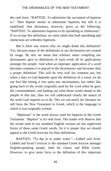the verb form. "BAPTIZE. To administer the sacrament of baptism to." Then *baptize* means to administer *baptism***,** but still it is undefined. One dictionary, however, gives us the following. "BAPTIZE. To administer baptism to by sprinkling or immersion." If we accept this definition, we must admit that both sprinkling and immersion are orthodox baptisms.

But is there any reason why we might doubt this definition? Yes, because many of the definitions in our dictionaries are created by usage. By this we mean that scholars when compiling our dictionaries, give as definitions of each word, all its applications amongst the people. And when an improper application of a word becomes common it is placed in the dictionaries and becomes thus a proper definition. This will do very well for common use, but when a duty to God depends upon the definition of a word, we do not feel like letting it rest upon any uncertainties, but rather like going back to the words originally used by the Lord when he gave the commandment, and finding out what those words meant to the people of that day; then we will understand clearly the nature of the work God requires us to do. This we can easily do, because we still have the New Testament in Greek, which is the language in which it was originally written.

"*Baptisma*" is the word always used for baptism in the Greek Testament. "*Baptizo*" is its verb form. The reader will observe that the words used in our standard English version are but anglicized forms of these same Greek words. So it is proper that we should appeal to the Greek lexicons for their definitions.

BAPTIZO. "To dip in or under water."—*Liddell and Scott*. Liddell and Scott's lexicon is the standard Greek lexicon amongst English-speaking people, both for classic and Bible Greek. However, to give more force to the definition of this important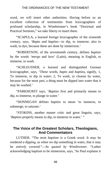word, we will insert other authorities. Having before us an excellent collection of testimonies from lexicographers of profound scholarship, in Winebrenner's book "Doctrinal and Practical Sermons," we take liberty to insert them.

"SCAPULA, a learned foreign lexicographer of the sixteenth century, says, '*Bapto* and *baptizo*—to dip, to immerse; also to wash, to dye, because these are done by immersion.'

"ROBERTSON, of the seventeenth century, defines *baptizo* by the words '*mergo* and *lavo*' (Latin), meaning in English, to immerse, to wash.

"SCHLEUSNER, a learned and distinguished German lexicographer, says, 'These words, *bapto* and *baptizo***,** signify, 1, To immerse, to dip in water; 2, To wash, or cleanse by water, because for the most part, a thing must be dipped into water that it may be washed.'

"PARKHURST says, '*Baptizo* first and primarily means to dip, to immerse, to plunge in water.'

"DONNEGAN defines *baptizo* to mean 'to immerse, to submerge, to saturate.'

"STOKINS, another master critic and great linguist, says, '*Baptizo* properly means to dip, to immerse in water.' "

# **The Voice of the Greatest Scholars, Theologians, And Commentators**

LUTHER. "The term *baptism* is a Greek word. It may be rendered *a dipping*, as when we dip something in water, that it may be *entirely* covered."—*As quoted by Winebrenner*. "Luther acknowledging baptism to be immersion, says, 'So Paul explains it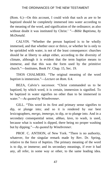(Rom. 6.)—On this account, I could wish that such as are to be baptized should be completely immersed into water according to the meaning of the word, and signification of the ordinance; as also without doubt it was instituted by Christ.' "—*Bible Baptisma, by McDonald*.

CALVIN. "Whether the person baptized is to be wholly immersed, and that whether once or thrice, or whether he is only to be sprinkled with water, is not of the least consequence: churches should be at liberty to adopt either, according to the diversity of climate, although it is evident that the term baptize means to immerse, and that this was the form used by the primitive church."—Institutes, Book IV. Chap. 15, Sec. 19.

THOS CHALMERS. "The original meaning of the word *baptism* is immersion."—*Lecture on Rom*. 6:4.

BEZA, Calvin's successor. "Christ commanded us to be baptized, by which word, it is certain, immersion is signified. To be baptized in water signifies no other than to be immersed in water."—*As quoted by Winebrenner*.

GILL. "This word in its first and primary sense signifies to dip, or plunge into; and so it is rendered by our best lexicographers, *mergo*, *immergo*, to dip, or to plunge into. And in a secondary consequential sense, *abbuo*, *lavo*, to wash, is used, because what is washed is dipped, there being no proper washing but by dipping."—*As quoted by Winebrenner*.

PROF. C. ANTHON, of New York. "There is no authority, whatever, for the singular remark made by Rev. Dr. Spring, relative to the force of *baptizo***.** The primary meaning of the word is to dip, or immerse; and its secondary meanings, if ever it had any, all refer, in some way or other, to the same leading idea.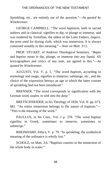Sprinkling, etc., are entirely out of the question."—*As quoted by Winebrenner*.

GEORGE CAMPBELL. "The word *baptizein*, both in sacred authors and in classical, signifies to dip, to plunge to immerse, and was rendered by Tertullian, the oldest of the Latin Fathers, *tingere*, the term used for dyeing cloth, which was immersion. It is always construed suitably to this meaning."—*Note on Matt*. 3:11.

PROF. STUART, of Andover Theological Seminary. "*Bapto* and *baptizo* mean to dip, plunge, or immerse into any liquid. All lexicographers and critics of any note, are agreed in this."—*As quoted by Winebrenner*.

AUGUSTI, Vol. V. p. 5. "The word *baptism*, according to etymology and usage, signifies to immerse, submerge, etc., and the choice of the expression betrays an age in which the latter custom of sprinkling had not been introduced."

BRENNER. "The word corresponds in signification with the German word, *taufen, to sink into the deep*."

BRETSCHNEIDER, in his Theology of 1828, Vol. II. pp. 673, 681. "An entire immersion belongs to the nature of baptism."— "This is the meaning of the word."

PAULLUS, in his Com., Vol. I p. 278. "The word *baptize* signifies in Greek, sometimes to *immerse*, sometimes to *submerge*."

RHEINHARD. Ethics, V. p. 79. "In sprinkling, the symbolical meaning of the ordinance is *wholly lost*."

SCHOLZ, on Matt. 3:6. "Baptism consists in the immersion of the whole body in water."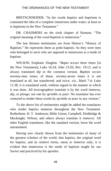BRETSCHNEIDER. "In the words *baptizo* and *baptisma* is contained the idea of a complete immersion under water; at least so is *baptisma* in the New Testament."

DR. CHADMERS on the sixth chapter of Romans. "The original meaning of the word *baptism* is immersion."

The last thirteen testimonies are from Hinton's "History of Baptism." He represents them as pedo-baptists. So they were men who belonged to sects who are opposed to immersion as a mode of baptism.

WILSON, Emphatic Diaglott. "*Bapto* occurs three times [in the New Testament], Luke 16:24; John 13:26; Rev. 19:13, and is always translated *dip* in the common version. *Baptizo* occurs seventy-nine times; of these, seventy-seven times it is not translated at all, but transferred; and twice, viz., Mark 7:4; Luke 11:38, it is translated *wash*, without regard to the manner in which it was done. All lexicographers translate it by the word *immerse*, *dip*, or *plunge*; not one by *sprinkle* or *pour*. No translator has ever ventured to render these words by *sprinkle* or *pour* in any version."

To the above list of testimonies might be added the translators who render *baptizo* immerse throughout the New Testament. Rotherham; H. T. Anderson; Bible Union; Campbell, Doddridge & Macknight; Wilson; and others always translate it *immerse*. All other English translators, like the standard version, leave the word untranslated.

Having now clearly shown from the testimonies of many of the greatest scholars of the world, that *baptizo*, the original word for baptize, and its relative terms, mean *to immerse* only; it is evident that immersion is the mode of baptism taught by our Savior and practiced by his apostles.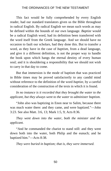This fact would be fully comprehended by every English reader, had our standard translators given us the Bible throughout in radical English. By radical English we mean such words as may be defined within the bounds of our own language. *Baptize* would be a radical English word, had its definition been transferred with the word itself from the Greek language. And we should have no occasion to fault our scholars, had they done this. But to transfer a word, as they have in the case of *baptism*, from a dead language, and give it a different definition, is not the proper way to handle the book upon which hangs the eternal destiny of every human soul; and it is shouldering a responsibility that we should not wish to carry in that day to come.

But that immersion is the mode of baptism that was practiced in Bible times may be proved satisfactorily to any candid mind without reference to the definition of the word *baptize*, by a careful consideration of the construction of the texts in which it is found.

*In no instance is it recorded that they brought the water to the applicant, but they always went to the water to administer baptism.*

"John also was baptizing in Enon near to Salim, because there was much water there: and they came, and were baptized."—John 3:23. See also Matt. 3:6, 13; Mark 1:5, 9; Acts 8:36.

*They went down into the water, both the minister and the applicant.*

"And he commanded the chariot to stand still: and they went down both into the water, both Philip and the eunuch; and he baptized him."—Acts 8:38.

*They were buried in baptism; that is, they were immersed.*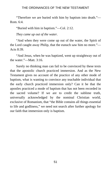"Therefore we are buried with him by baptism into death."— Rom. 6:4.

"Buried with him in baptism."—Col. 2:12.

*They came up out of the water.* 

"And when they were come up out of the water, the Spirit of the Lord caught away Philip, that the eunuch saw him no more."— Acts 8:39.

"And Jesus, when he was baptized, went up straightway out of the water."—Matt. 3:16.

Surely no thinking man can fail to be convinced by these texts that the apostolic church practiced immersion. And as the New Testament gives no account of the practice of any other mode of baptism, what is wanting to convince any teachable individual that the early church practiced immersion only? Can it be that the apostles practiced a mode of baptism that has not been recorded in the sacred volume? If we are to credit the sublime truth, universally acknowledged by the nominal Christian world, exclusive of Romanism, that "the Bible contains all things essential to life and godliness," we need not search after further apology for our faith that immersion only is baptism.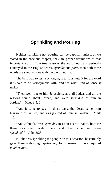# **Sprinkling and Pouring**

Neither sprinkling nor pouring can be baptism, unless, as we stated in the previous chapter, they are proper definitions of that important word. If the true sense of the word *baptize* is perfectly conveyed in the English words *sprinkle* and *pour*, then both these words are synonymous with the word *baptize*.

The best way to test a synonym, is to substitute it for the word it is said to be synonymous with, and see what kind of sense it makes.

"Then went out to him Jerusalem, and all Judea, and all the regions round about Jordan, and were *sprinkled* of him in Jordan."—Matt. 3:5, 6.

"And it came to pass in those days, that Jesus came from Nazareth of Galilee, and was *poured* of John in Jordan."—Mark 1:9.

"And John also was *sprinkled* in Enon near to Salim, because there was *much* water there: and they came, and were *sprinkled*."—John 3:23.

If John was sprinkling the people on this occasion, he certainly gave them a thorough sprinkling, for it seems to have required *much water*.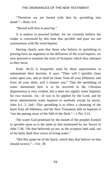"Therefore we are buried with him by *sprinkling* into *death*."—Rom. 6:4.

"Buried with him in *pouring*."

It is useless to proceed further, for we certainly believe the reader is convinced by this time that *sprinkle* and *pour* are not synonymous with the word *baptize*.

Having clearly seen that those who believe in sprinkling or pouring have no argument in the definition of the word *baptize*, we now proceed to examine the texts of Scripture which they interpret in their favor.

Ezek. 36:25 is frequently used by these aspersionists to substantiate their doctrine. It says: "Then will I sprinkle clean water upon you, and ye shall be clean: from all your filthiness, and from all your idols, will I cleanse you." That the sprinkling of water mentioned here is to be received in the Christian dispensation is very evident, but it does not signify water baptism, for two reasons. 1st.—It was to be applied by the Lord, and he never administered water baptism to anybody except by proxy. John 4:1, 2. 2nd—This sprinkling is to effect a cleansing of the heart from all filthiness, and the New Testament tells us baptism is "not the putting away of the filth of the flesh."—1 Pet. 3:21.

The water God promised by the mouth of the prophet Ezekiel to sprinkle upon us is the same as that mentioned by our Savior in John 7:38. "He that believeth on me, as the scripture hath said, out of his belly shall flow rivers of living water."

"But this spake he of the Spirit, which they that believe on him should receive."—Ver. 39.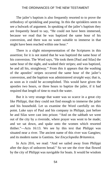The jailer's baptism is also frequently resorted to to prove the orthodoxy of sprinkling and pouring. In this the sprinklers seem to see a bulwark of argument. In speaking of the jailer's baptism they are frequently heard to say, "He could not have been immersed, because we read that he was baptized the same hour of his conversion, and there was no water suitable to immerse in that might have been reached within one hour."

There is a slight misrepresentation of the Scriptures in this assertion; for it is not stated that he was baptized the same hour of his conversion. The Word says, "He took them [Paul and Silas] the same hour of the night, and washed their stripes; and was baptized, he and all his, straightway." From this it appears that the washing of the apostles' stripes occurred the same hour of the jailer's conversion, and the baptism was administered *straight way*; that is, as soon as it could be accomplished. This would have given the apostles two hours, or three hours to baptize the jailer, if it had required that length of time to reach the water.

But it is very strange that water was so scarce in a great city like Philippi, that they could not find enough to immerse the jailer and his household. Let us examine the Word carefully on this point. Luke says of Paul and his company in Philippi, just before he and Silas were cast into prison: "And on the sabbath we went out of the city by a riverside, where prayer was wont to be made; and we sat down, and spake unto the women which resorted thither."—Acts 16:13. We see by this text that Philippi was situated near a river. The ancient name of this river was Gangites; and its modern name is Gantista. *See Encyclopedia Britannica*.

In Acts 20:6, we read: "And we sailed away from Philippi after the days of unleaven bread." So we see the river that flowed by the city of Philippi was navigable for boats. It would be wisdom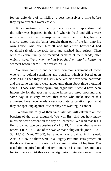for the defenders of sprinkling to post themselves a little before they try to preach a waterless city.

It is sometimes affirmed by the advocates of sprinkling that the jailer was baptized in the jail wherein Paul and Silas were imprisoned. But this the inspired narrative itself refutes; for it is clearly stated that the jailer brought them out of the jail unto his own house. And after himself and his entire household had obtained salvation, he took them and washed their stripes. Then with his entire family he received baptism at their hands, after which it says: "*And when he had brought them into his house*, he set meat before them." Read verses 29-34.

We now come to another very common argument of those who try to defend sprinkling and pouring; which is based upon Acts 2:41. "Then they that gladly received his word were baptized: and the same day there were added unto them about three thousand souls." Those who favor sprinkling argue that it would have been impossible for the apostles to have immersed three thousand that same day. It is very evident that those who make use of this argument have never made a very accurate calculation upon what they are speaking against, or else they are wanting in candor.

To show the folly of their vain talk, we will calculate on the baptism of the three thousand. We will first find out how many ministers were present on the day of Pentecost. We read that Jesus first ordained twelve apostles (Mark 3:13, 14); after that seventy others. Luke 10:1. One of the twelve made shipwreck (John 13:21- 30; 18:1-5; Matt. 27:3-5), but another was ordained in his stead. Acts 1:15-26. So there were in all eighty-two ministers present on the day of Pentecost to assist in the administration of baptism. The usual time required to administer immersion is about three minutes for two persons. At this rate the eighty-two ministers would have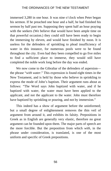immersed 3,280 in one hour. It was nine o'clock when Peter began his sermon. If he preached one hour and a half, he had finished his sermon by half past ten. Supposing they spent half an hour praying with the seekers (We believe that would have been ample time on that powerful occasion.) they could still have been ready to begin the immersing by eleven, and would have finished by noon. It is useless for the defenders of sprinkling to plead insufficiency of water in this instance, for numerous pools were to be found throughout the city. Even had they been compelled to go five miles to find a sufficient place to immerse, they would still have completed the noble work long before the day was ended.

We now come to the Gibraltar of the defenders of aspersion the phrase "*with water*." This expression is found eight times in the New Testament, and is held by those who believe in sprinkling to express the mode of John's baptism. Their argument runs about as follows: "The Word says John baptized with water, and if he baptized with water, the water must have been applied to the applicant, and not the applicant to the water. John must therefore have baptized by sprinkling or pouring, and not by immersion."

This indeed has a show of argument before the uninformed; but a small degree of enlightenment removes the thin veil of argument from around it, and exhibits its falsity. Prepositions in Greek as in English are generally very elastic, therefore no great argument can be founded upon them. The major parts of speech are the more forcible. But the preposition from which *with*, in the phrase under consideration, is translated, is one of the most uniform and specific of Greek prepositions.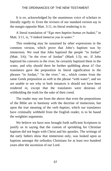It is *en*, acknowledged by the unanimous voice of scholars to literally signify *in*. Even the revisers of our standard version say in the margin opposite Matt. 3:11, its literal rendering is *in*.

A literal translation of "*Ego men baptizo humas en hudati*," in Matt. 3:11, is, "*I indeed immerse you in wate*r."

This rendering may be sustained by other expressions in the common version, which prove that John's baptism was by immersion. We read that John baptized the people "in Jordan" (Matt. 3:6); "in the river of Jordan" (Mark 1:5); etc. If John baptized his converts in the river, he certainly baptized them in the water, and why should there be further quibbling about it? Our translators gave the preposition its literal signification in the phrases "in Jordan," "in the river," etc., which comes from the same Greek preposition as *with* in the phrase "with water"; and we are unable to see why in both instances it should not have been rendered *in*, except that the translators were desirous of withholding the truth for the sake of their creed.

The reader may see from the above that even the prepositions of the Bible are in harmony with the doctrine of immersion, but upon the true meaning of the verb *baptizo*, which our translators have criminally withheld from the English reader, is to be based the weightier arguments.

We believe we have now brought forth sufficient Scriptures to justify us in saying that the custom of sprinkling for Christian baptism did not begin with Christ and his apostles. The writings of the early fathers show that immersion only, was looked upon as baptism amongst the orthodox Christians for at least two hundred years after the ascension of our Lord.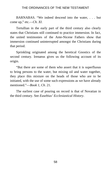BARNABAS. "We indeed descend into the water, . . . but come up," etc.—*Ch. XI*.

Tertullian in the early part of the third century also clearly states that Christians still continued to practice immersion. In fact, the united testimonies of the Ante-Nicene Fathers show that immersion continued uninterrupted amongst the Christians during that period.

Sprinkling originated among the heretical Gnostics of the second century. Irenaeus gives us the following account of its origin.

"But there are some of them who assert that it is superfluous to bring persons to the water, but mixing oil and water together, they place this mixture on the heads of those who are to be initiated, with the use of some such expressions as we have already mentioned."—*Book 1, Ch*. 21.

The earliest case of pouring on record is that of Novatian in the third century. See *Eusebius' Ecclesiastical History*.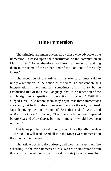# **Trine Immersion**

The principle argument advanced by those who advocate trine immersion, is based upon the construction of the commission in Matt. 28:19. "Go ye therefore, and teach all nations, baptizing them in the name of the Father, and of the Son, and of the Holy Ghost<sup>"</sup>

The repetition of the article in this text is ofttimes said to imply a repetition in the action of the verb. To substantiate this interpretation, trine-immersers sometimes affirm it to be an established rule of the Greek language, that, "The repetition of the article signifies a repetition in the action of the verb." With this alleged Greek rule before them they argue that three immersions are clearly set forth in the commission, because the original Greek says "baptizing them in the name of *the* Father, and of *the* son, and of *the* Holy Ghost." They say, "Had the article not been repeated before *Son* and *Holy Ghost*, but one immersion would have been implied."

But let us put their Greek rule to a test. If we literally translate 1 Cor. 10:2, it will read, "And all into the Moses were immersed in the cloud and in the sea."

The article occurs before *Moses*, and *cloud* and *sea*; therefore according to the trine-immerser's rule we are to understand from this text that the whole nation of Israel on their journey across the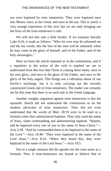sea were baptized by trine immersion. They were baptized once into Moses, once, in the cloud, and once in the sea. This is surely a very strange exposition of this text, but we are only bringing out the force of the trine-immersers's rule.

We will test this rule a little further. If we translate literally Luke 9:26, it reads as follows: "Who for ever may be ashamed me and the my words, this the Son of the man will be ashamed, when he may come in the glory of himself, and of *the* Father, and of *the* holy messengers."

Here we have the article repeated as in the commission, and if a repetition in the action of the verb is implied we are to understand from this text that Christ is coming three times; once in his own glory, and once in the glory of his Father, and once in the glory of the holy angels. This brings out a ridiculous abuse of our Savior's teachings, but it is only carrying out the recently constructed Greek rule of trine-immersers. The reader can certainly see by this time that there is no such rule in the Greek language.

Another weighty argument against trine immersion is that the apostolic church did not understand the commission as do the modern advocates of trine immersion. They did not even understand that the words of Matt. 28:19 were to be used as a formula when they administered baptism. They only used the name of Jesus, when commanding and administering baptism. "Repent, and be baptized every one of you in the name of Jesus Christ."— Acts 2:38. "And he commanded them to be baptized in the name of the Lord."—Acts 10:48. "They were baptized in the name of the Lord Jesus."—Acts 8:16. "When they heard this, they were baptized in the name of the Lord Jesus."—Acts 19:5.

Not in a single instance did the apostle use the trine name as a formula. Now if trine-immersers are bound to believe that to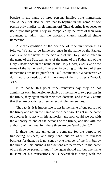baptize in the name of three persons implies trine immersion, should they not also believe that to baptize in the name of one person only implies single immersion? Their doctrine is opposed to itself upon this point. They are compelled by the force of their own argument to admit that the apostolic church practiced single immersion.

A clear exposition of the doctrine of trine immersion is as follows: We are to be immersed once in the name of the Father, exclusive of the name of the Son and of the Holy Ghost; once in the name of the Son, exclusive of the name of the Father and of the Holy Ghost; once in the name of the Holy Ghost, exclusive of the name of the Father and of the Son. According to this, two of these immersions are unscriptural; for Paul commands, "Whatsoever ye do in word or deed, do all in the name of the Lord Jesus."—Col.  $3:17.$ 

If to dodge this point trine-immersers say they do not administer each immersion exclusive of the name of two persons in the trinity, they again attack their own doctrine, and virtually admit that they are practicing three perfect single immersions.

The fact is, it is impossible to act in the name of one person of the trinity and not in the name of the other two. To act in the name of another is to act with his authority, and how could we act with the authority of one of the persons of the trinity, and not with the authority of the three, for "these three are one"?—1 John 5:7.

If three men are united in a company for the purpose of transacting business, and they send out an agent to transact business for them, he is not sent by one member of the firm but by the three. All his business transactions are performed in the name of the three co-partners. And if the agent should use but one name in some of his transactions he is nevertheless acting with the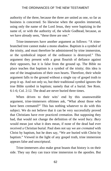authority of the three, because the three are united as one, so far as business is concerned. So likewise when the apostles immersed, using only the name of the Lord Jesus, they were baptizing in the name of, or with the authority of, the whole Godhead, because, as we have already seen, "these three are one."

Trine-immersers have another argument as follows: "A trinebranched tree cannot make a mono shadow. Baptism is a symbol of the trinity, and must therefore be administered by trine immersion, or the symbolical import of the ordinance is destroyed." This argument they present with a great flourish of defiance against their opposers, but it is false from the ground up. The Bible no place teaches that baptism is a symbol of the trinity; this idea is one of the imaginations of their own hearts. Therefore, their whole argument falls to the ground without a single ray of gospel truth to prop it up. And not only so, but their traditional symbol ignores the true Bible symbol in baptism; namely that of a burial. See Rom. 6:1-6; Col. 2:12. The dead are never buried three times.

When driven to their wits' end by this unanswerable argument, trine-immersers ofttimes ask, "What about those who have been cremated?" This has nothing whatever to do with this subject. We do not believe that it can be very successfully proved that Christians have ever practiced cremation. But supposing they had, that would not change the definition of the word *bury*. *Bury* would mean just what it does mean, if none of the dead had ever received a Christian burial. Paul does not say we are *cremated* with Christ by baptism, but he does say, "We are buried with Christ by baptism." Viewed in the light of any gospel truth, trine immersion appears false and unscriptural.

Trine-immersers also make great boasts that history is on their side. They say they can trace trine immersion to the apostles. But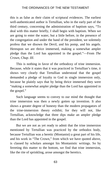this is as false as their claim of scriptural evidences. The earliest well-authenticated author is Tertullian, who in the early part of the third century, concerning the administration of baptism says, "To deal with this matter briefly, I shall begin with baptism. When we are going to enter the water, but a little before, in the presence of the congregation and under the hand of the president, we solemnly profess that we disown the Devil, and his pomp, and his angels. Hereupon we are thrice immersed, making a somewhat ampler pledge than the Lord has appointed in the gospel."—From *The Crown, Chap. III*.

This is nothing in favor of the orthodoxy of trine immersion. Because, while it states that it was practiced in Tertullian's time, it shows very clearly that Tertullian understood that the gospel demanded a pledge of loyalty to God in single immersion only, because he plainly says that by being thrice immersed they were "making a somewhat ampler pledge than the Lord has appointed in the gospel."

Such language seems to convey to our mind the thought that trine immersion was then a newly gotten up invention. It also shows a greater degree of honesty than the modern propagators of the trine-immersion theory exhibit; for they will not, like Tertullian, acknowledge that three dips make an ampler pledge than the Lord has appointed in the gospel.

But we are not as yet ready to admit that the trine immersion mentioned by Tertullian was practiced by the orthodox body, because Tertullian was a heretic (Montanist) a great part of his life, and his work in "The Crown," from which we have quoted above, is classed by scholars amongst his Montanistic writings. So by ferreting this matter to the bottom, we find that trine immersion, like the rite of sprinkling, arose amongst the heretics.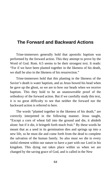# **The Forward and Backward Actions**

Trine-immersers generally hold that apostolic baptism was performed by the forward action. This they attempt to prove by the Word of God. Rom. 6:5 seems to be their strongest text. It reads: "For if we have been planted together in the likeness of his death, we shall be also in the likeness of his resurrection."

Trine-immersers hold that this planting in the likeness of the Savior's death is water baptism, and as Jesus bowed his head when he gave up the ghost, so we are to bow our heads when we receive baptism. This they hold to be an unanswerable proof of the orthodoxy of the forward action. But if we carefully study this text, it is no great difficulty to see that neither the forward nor the backward action is referred to here.

The words "planted together in the likeness of his death," are correctly interpreted in the following manner. Jesus taught, "Except a corn of wheat fall into the ground and die, it abideth alone: but if it die, it bringeth forth much fruit." By these words he meant that as a seed in its germination dies and springs up into a new life, so he must die and come forth from the dead to complete the salvation of the human family. So also must we die to every sinful element within our nature to have a part with our Lord in his kingdom. This dying out takes place within us when we are changed by the saving grace of God, and is called in the New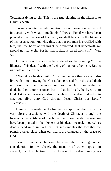Testament dying to sin. This is the true planting in the likeness to Christ's death.

To substantiate this interpretation, we will again quote the text in question, with what immediately follows. "For if we have been planted in the likeness of his death, we shall be also in the likeness of his resurrection; knowing this, that our old man is crucified with him, that the body of sin might be destroyed, that henceforth we should not serve sin. For he that is dead is freed from sin."—Ver. 5-7.

Observe how the apostle here identifies the planting "in the likeness of his death" with the freeing of our souls from sin. But let us quote a little further.

"Now if we be dead with Christ, we believe that we shall also live with him: knowing that Christ being raised from the dead dieth no more; death hath no more dominion over him. For in that he died, he died unto sin once; but in that he liveth, he liveth unto God. Likewise reckon ye also yourselves to be dead indeed unto sin, but alive unto God through Jesus Christ our Lord." —Verses 8-11.

Here, as the reader will observe, our spiritual death to sin is very closely associated with the death of Christ, as though the former is the antitype of the latter. Paul commands because we have been planted in the likeness of his death, to reckon ourselves dead indeed unto sin. All this but substantiates the fact that the planting takes place when our hearts are changed by the grace of God.

Trine immersers believe because the planting under consideration follows closely the mention of water baptism in verse 4, that the planting in the likeness of his death surely has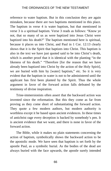reference to water baptism. But in this conclusion they are again mistaken, because there are two baptisms mentioned in this place. The baptism in verse 4 is water baptism, but that mentioned in verse 3 is a spiritual baptism. Verse 3 reads as follows: "Know ye not, that so many of us as were baptized into Jesus Christ were baptized into his death?" The baptism mentioned here is spiritual, because it places us into Christ, and Paul in 1 Cor. 12:13 clearly shows that it is the Spirit that baptizes into Christ. This baptism is also in the text we have just quoted said to be into Christ's death, which is another proof that it is identical with the planting "in the likeness of his death." "Therefore [for the reason that we have already been baptized into Christ by the action of the Holy Spirit], we are buried with him by [water] baptism," etc. So it is very evident that the baptism in water is not to be administered until the applicant has first been planted by the Spirit. Thus the whole argument in favor of the forward action falls defeated by the testimony of divine inspiration.

Trine-immersionists often assert that the backward action was invented since the reformation. But this they come as far from proving as they come short of substantiating the forward action. They quote a few modern authors, but modern authority is worthless except it be based upon ancient evidences. In these times of antichrist rage every deception is backed by somebody's pen. It is ancient evidence that we want, and there is none in favor of the forward action.

The Bible, while it makes no plain statements concerning the action of baptism, symbolically shows the backward action to be the apostolic mode. We have seen that baptism is set forth by the apostle Paul, as a symbolic burial. As the bodies of the dead are always buried with the face upwards, the apostle surely intended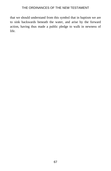that we should understand from this symbol that in baptism we are to sink backwards beneath the water, and arise by the forward action, having thus made a public pledge to walk in newness of life.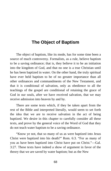# **The Object of Baptism**

The object of baptism, like its mode, has for some time been a source of much controversy. Formalists, as a rule, believe baptism to be a saving ordinance; that is, they believe it to be an initiation into the kingdom of God, and that no one is a true Christian until he has been baptized in water. On the other hand, the truly spiritual have ever held baptism to be of no greater importance than all other ordinances and commandments of the New Testament, and that it is conditional of salvation, only as obedience to all the teachings of the gospel are conditional of retaining the grace of God in our souls, after we have received salvation, that we may receive admission into heaven by and by.

There are some texts which, if they be taken apart from the rest of the Bible and interpreted literally, would seem to set forth the idea that we are to receive salvation in the act of being baptized. We desire in this chapter to carefully consider all these texts, and prove by the general voice of the Word of God that they do not teach water baptism to be a saving ordinance.

"Know ye not, that so many of us as were baptized into Jesus Christ were baptized into his death?" Rom. 6:3. "For as many of you as have been baptized into Christ have put on Christ."—Gal. 3:27. These texts have indeed a show of argument in favor of the theory that we are saved by water baptism; but as the New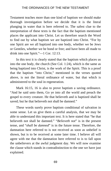Testament teaches more than one kind of baptism we should make thorough investigation before we decide that it is the literal plunging in water that is here referred to. The safest clue to the interpretation of these texts is the fact that the baptism mentioned places the applicant into Christ. Let us therefore search the Word to find out by what baptism we are baptized into Christ. "For by one Spirit are we all baptized into one body, whether we be Jews or Gentiles, whether we be bond or free; and have been all made to drink into one Spirit."—1 Cor. 12:13.

In this text it is clearly stated that the baptism which places us into the one body, the church (See Col. 1:24), which is the same as being baptized into Christ, is the work of the Spirit. This is a proof that the baptism "into Christ," mentioned in the verses quoted above, is not the literal ordinance of water, but that which is administered to the soul in regeneration.

Mark 16:15, 16 is also to prove baptism a saving ordinance. "And he said unto them, Go ye into all the world and preach the gospel to every creature. He that believeth and is baptized shall be saved; but he that believeth not shall be damned."

These words surely prove baptism conditional of salvation in some sense. Let us give them a careful analysis, that we may be able to understand this important text. It is here stated that "he that believeth not shall be damned." "*Believeth not*" is in the present tense, and "*shall be damned*" is in the future tense. Therefore, the damnation here referred to is not received as soon as unbelief is shown, but is to be received at some later time. I believe all will agree with me that the damnation here referred to is to fall upon the unbelievers at the awful judgment day. We will now examine the clause which stands in contradistinction to the one we have just explained.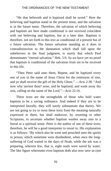"He that believeth and is baptized shall be saved." Here the believing and baptism stand in the present tense, and the salvation is in the future tense. Therefore, the salvation of which believing and baptism are here made conditional is not received coincident with out believing and baptism, but at a later date. Baptism is therefore, not set forth in this text as conditional of a present but of a future salvation. The future salvation standing as it does in contradistinction to the damnation which shall fall upon the unbelievers in the final judgment, is surely that which Paul denominates "eternal salvation." Heb. 5:9. So we have yet no proof that baptism is conditional of the salvation from sin to be received in this life.

"Then Peter said unto them, Repent, and be baptized every one of you in the name of Jesus Christ for the remission of sins, and ye shall receive the gift of the Holy Ghost." —Acts 2:38. "And now why tarriest thou? arise, and be baptized, and wash away thy sins, calling on the name of the Lord."—Acts 22:16.

These texts are the strongholds of those who hold water baptism to be a saving ordinance. And indeed if they are to be interpreted literally, they will surely substantiate that theory. We are not going to try to twist these texts from the meaning naturally expressed in them, but shall endeavor, by resorting to other Scriptures, to ascertain whether baptism washes away sins in a literal or a spiritual sense. Peter is the author of one of these texts; therefore, he will be a good interpreter to resort to. His explanation is as follows: "By which also he went and preached unto the spirits in prison; which sometime were disobedient, when once the longsuffering of God waited in the days of Noah, while the ark was a preparing, wherein few, that is, eight souls were saved by water. The like figure whereunto even baptism doth also now save us (not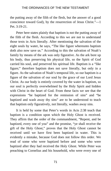the putting away of the filth of the flesh, but the answer of a good conscience toward God), by the resurrection of Jesus Christ."—1 Pet. 3:19-21.

Peter here states plainly that baptism is not the putting away of the filth of the flesh. According to this we are not to understand those texts in Acts literally. After mentioning the salvation of the eight souls by water, he says, "The like figure whereunto baptism doth also now save us." According to this the salvation of Noah's family by means of the ark was only figurative. As the ark bore up his body, thus preserving his physical life, so the Spirit of God carried his soul, and preserved his spiritual life. Baptism is a "like figure;" therefore baptism does not save literally, but only in a figure. As the salvation of Noah's temporal life, so our baptism is a figure of the salvation of our soul by the grace of our Lord Jesus Christ. As our body is entirely covered by the water in baptism, so our soul is perfectly overwhelmed by the Holy Spirit and hidden with Christ in the heart of God. From these facts we see that the expressions "be baptized for the remission of sins" and "be baptized and wash away thy sins" are to be understood to teach that baptism only figuratively, not literally, washes away sins.

It is held by some that Peter's words in Acts 2:38 teach that baptism is a condition upon which the Holy Ghost is received. They affirm that the order of the commandment, "Repent, and be baptized, every one of you" and the promise, "ye shall receive the gift of the Holy Ghost," proves that the Holy Ghost cannot be received until we have first been baptized in water. This is evidently a mistake, because God does not follow this order. We read of some who were baptized before and some who were baptized after they had received the Holy Ghost. While Peter was preaching to Cornelius and his household, who were every one of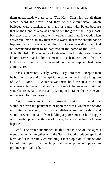them unbaptized, we are told, "The Holy Ghost fell on all them which heard the word. And they of the circumcision which believed were astonished, as many as came with Peter, because that on the Gentiles also was poured out the gift of the Holy Ghost. For they heard them speak with tongues, and magnify God. Then answered Peter, Can any man forbid water, that these should not be baptized, which have received the Holy Ghost as well as we? And he commanded them to be baptized in the name of the Lord."— Acts 10:44-48. This account of salvation work under Peter's own labors proves that he did not mean to teach in Acts 2:38 that the Holy Ghost could not be received until after baptism had been administered.

"Jesus answered, Verily, verily, I say unto thee, Except a man be born of water and of the Spirit, he cannot enter into the kingdom of God."—John 3:5. Water-salvationists hold this text to be an unanswerable proof that salvation cannot be received without water baptism. But it is certainly wrong to literalize the word *water* in this text, for two reasons.

1st. It throws us into an unmerciful rigidity of belief that would bar even the penitent thief upon the cross, whom the Savior so lovingly received, from our confidence and fellowship, and would prevent our faith from holding a poor sinner in his struggle with death up to the throne of grace, because he had not been baptized.

2nd. The water mentioned in this text is one of the agents mentioned which together with the Spirit of God produces spiritual birth, and it is certainly entertaining a mean opinion of our Savior to hold him guilty of teaching that water possessed power to produce spiritual birth.

72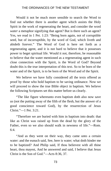Would it not be much more sensible to search the Word to find out whether there is another agent which assists the Holy Spirit in the work of regenerating the heart, and consider the word *water* a metaphor signifying that agent? But is there such an agent? Yes, we read in 1 Pet. 1:23: "Being born again, not of corruptible seed, but of incorruptible, by the word of God, which liveth and abideth forever." The Word of God is here set forth as a regenerating agent, and it is not hard to believe that it possesses power to beget spiritual life. Would it not, therefore, be reasonable to believe that the water mentioned as a regenerating agent in such close connection with the Spirit, is the Word of God? Beyond doubt this is the true interpretation of this text. So to be born of the water and of the Spirit, is to be born of the Word and of the Spirit.

We believe we have fully considered all the texts offered as proof by those who hold baptism to be saving ordinance. Now we will proceed to show the true Bible object in baptism. We believe the following Scriptures set this matter before us clearly.

"The like figure whereunto even baptism doth also now save us (not the putting away of the filth of the flesh, but the answer of a good conscience toward God), by the resurrection of Jesus Christ."—1 Pet. 3:21.

"Therefore we are buried with him in baptism into death: that like as Christ was raised up from the dead by the glory of the Father, even so we also should walk in newness of life."—Rom. 6:4.

"And as they went on their way, they came unto a certain water: and the eunuch said, See, here is water; what doth hinder me to be baptized? And Philip said, If thou believest with all thine heart, thou mayest, And he answered and said, I believe that Jesus Christ is the Son of God."—Acts 8:36, 37.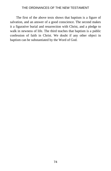The first of the above texts shows that baptism is a figure of salvation, and an answer of a good conscience. The second makes it a figurative burial and resurrection with Christ, and a pledge to walk in newness of life. The third teaches that baptism is a public confession of faith in Christ. We doubt if any other object in baptism can be substantiated by the Word of God.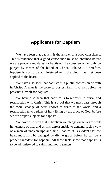# **Applicants for Baptism**

We have seen that baptism is the answer of a good conscience. This is evidence that a good conscience must be obtained before we are proper candidates for baptism. The conscience can only be purged by means of the blood of Christ. Heb. 9:14. Therefore, baptism is not to be administered until the blood has first been applied to the heart.

We have also seen that baptism is a public confession of faith in Christ. A man is therefore to possess faith in Christ before he presents himself for baptism.

We have also seen that baptism is to represent a burial and resurrection with Christ. This is a proof that we must pass through the moral change of heart known as death to the world, and a resurrection unto a plane of holy living by the grace of God, before we are proper subjects for baptism.

We have also seen that in baptism we pledge ourselves to walk in newness of life; and as it is unreasonable to demand such a vow of a man of unclean lips and sinful nature, it is evident that the heart must first be changed by divine grace before he can be a proper candidate for baptism. All these facts show that baptism is to be administered to saints and not to sinners.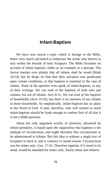## **Infant-Baptism**

We have now struck a topic which is foreign to the Bible, hence very much calculated to embarrass the writer who desires to stay within the bounds of holy Scripture. The Bible furnishes no account of infant baptism, either as an example or a precept. The Savior teaches very plainly that all infants shall be saved (Mark 10:14), but he drops no hint that their salvation was predicated upon certain conditions, or that baptism is essential in the case of infants. None of the apostles even speak of infant-baptism, in any of their writings. We can read of the baptism of both men and women, but not of infants. Acts 8:12. We can read of the baptism of households (Acts 10:16), but there is no mention of any infants in those households. So emphatically, infant-baptism has no place in the Word of God. A man, therefore, who will venture to teach infant-baptism should be frank enough to confess first of all that it is not a Bible question.

About the only argument worthy of attention, advanced by infant-sprinklers, is based upon the supposition that baptism is the antitype of circumcision, and ought therefore like circumcision to be administered to infants. But this idea is without a single text of Scripture to back it, and is contrary to sound reason. Circumcision was for males only. Gen. 17:10. Therefore baptism, if it stood in its stead, would be intended for males only. Surely those who believe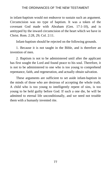in infant-baptism would not endeavor to sustain such an argument. Circumcision was no type of baptism. It was a token of the covenant God made with Abraham (Gen. 17:1-10), and is antityped by the inward circumcision of the heart which we have in Christ. Rom. 2:28, 29; Col. 2:11.

Infant-baptism should be rejected on the following grounds.

1. Because it is not taught in the Bible, and is therefore an invention of men.

2. Baptism is not to be administered until after the applicant has first sought the Lord and found peace to his soul. Therefore, it is not to be administered to one who is too young to comprehend repentance, faith, and regeneration, and actually obtain salvation.

These arguments are sufficient to set aside infant-baptism in the minds of those who are desirous of accepting the whole truth. A child who is too young to intelligently repent of sins, is too young to be held guilty before God. If such a one die, he will be admitted to eternal life unconditionally, and we need not trouble them with a humanly invented rite.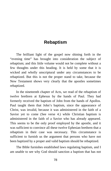# **Rebaptism**

The brilliant light of the gospel now shining forth in the "evening time" has brought into consideration the subject of rebaptism; and this little volume would not be complete without a few thoughts under this heading. It is held by some that it is wicked and wholly unscriptural under any circumstances to be rebaptized. But this is not the proper stand to take, because the New Testament shows very clearly that the apostles sometimes rebaptized.

In the nineteenth chapter of Acts, we read of the rebaptism of twelve brethren at Ephesus by the hands of Paul. They had formerly received the baptism of John from the hands of Apollos. Paul taught them that John's baptism, since the appearance of Christ, was invalid, because it was administered in the faith of a Savior yet to come (See verse 4.) while Christian baptism is administered in the faith of a Savior who has already appeared. This seems to be the only proof employed by the apostle, and it was sufficient to convince all these twelve Ephesian brethren that a rebaptism in their case was necessary. This circumstance is sufficient to furnish us the argument that persons who have not been baptized by a proper and valid baptism should be rebaptized.

The Bible furnishes established laws regulating baptism, and I am unable to see why God should sanction a baptism that has not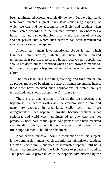been administered according to his divine laws. On the other hand, men have invented a great many laws concerning baptism, of which we can find no account in the Bible, and baptism when administered according to their human-invented laws becomes a human rite and cannot therefore receive the sanction of heaven; and the person unto whom such baptism has been administered should be treated as unbaptized.

Among the human laws mentioned above is that which legalizes infant-baptism, which we have before proved unscriptural. A person, therefore, who has received this popish rite, should not deem himself baptized when he has grown to manhood, but should be properly baptized when he has become converted to Christ.

The laws legalizing sprinkling, pouring, and trine immersion as proper modes of baptism, are also of human invention: hence, those who have received such applications of water, are yet unbaptized, and should accept true Christian baptism.

There is also among some professors the false doctrine that baptism is intended to wash away the condemnation of sin, and many are baptized in that faith, while their hearts are unregenerated. Such baptism is invalid, because baptism is not scriptural and valid when administered to one who has not previously been born of the Spirit. And persons who have received such invalid baptism, though it may have been administered by the true scriptural mode, should be rebaptized.

Another very important point in connection with this subject, is the commission under which the minister administers baptism. No man is scripturally qualified to administer baptism until he is divinely commissioned by the Holy Ghost to preach and baptize. This proof would prove much of the baptism administered by the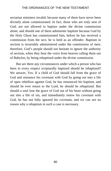sectarian ministers invalid, because many of them have never been divinely alone commissioned. In fact, those who are truly sent of God, are not allowed to baptize under the divine commission alone; and should one of them administer baptism because God by the Holy Ghost has commissioned him, before he has received a commission from the sect, he is held as an offender. Baptism in sectism is invariably administered under the commission of men; therefore, God's people should not hesitate to ignore the authority of sectism, when they hear the voice from heaven calling them out of Babylon, by being rebaptized under the divine commission.

But are there any circumstances under which a person who has been in every respect scripturally baptized should be rebaptized? We answer, Yes. If a child of God should fall from the grace of God and renounce his covenant with God by going out into a life of open rebellion against God, he has renounced his baptism, and should he ever return to the Lord, he should be rebaptized. But should a soul lose the grace of God out of his heart without going out into a life of sin, and immediately renew his covenant with God, he has not fully ignored his covenant, and we can see no reason why a rebaptism in such a case is necessary.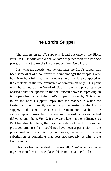# **The Lord's Supper**

The expression *Lord's supper* is found but once in the Bible. Paul uses it as follows: "When ye come together therefore into one place, this is not to eat the Lord's supper."—1 Cor. 11:20.

Just what the apostle here denominates the Lord's supper, has been somewhat of a controverted point amongst the people. Some hold it to be a full meal, while others hold that it is composed of the emblems of the true ordinance of communion only. This point must be settled by the Word of God. In the first place let it be observed that the apostle in the text quoted above is reproving an improper observance of the Lord's supper. His words, "This is not to eat the Lord's supper" imply that the manner in which the Corinthian church ate it, was not a proper eating of the Lord's supper. At the same time, it is to be remembered that he in the same chapter praises them for keeping the ordinances as he had delivered unto them. Ver. 2. If they were keeping the ordinances as Paul had directed them, the improper eating of the Lord's supper practiced amongst them could not have been a perversion of the proper ordinance instituted by our Savior, but must have been a substitution of something that does not properly pertain to the Lord's supper.

This position is verified in verses 20, 21—"When ye come together therefore into one place, this is not to eat the Lord's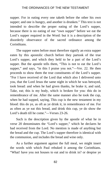supper. For in eating every one taketh before the other his own supper; and one is hungry, and another is drunken." This text is not intended to describe the proper eating of the Lord's supper, because there is no eating of our "own supper" before we eat the Lord's supper required in the Word: but it is a description of the disorderly observance of the sacred ordinance among the Corinthians.

The supper eaten before must therefore signify an extra supper eaten by this apostolic church before they partook of the true Lord's supper, and which they held to be a part of the Lord's supper. But the apostle tells them, "This is not to eat the Lord's supper," and says, "in this I praise you not."—Ver. 22. He then proceeds to show them the true constituents of the Lord's supper. "For I have received of the Lord that which also I delivered unto you, that the Lord Jesus the same night in which he was betrayed, took bread: and when he had given thanks, he brake it, and said, Take, eat; this is my body, which is broken for you: this do in remembrance of me. After the same manner also he took the cup, when he had supped, saying, This cup is the new testament in my blood: this do ye, as oft as ye drink it, in remembrance of me. For as often as ye eat this bread, and drink this cup, ye do show the Lord's death till he come."—Verses 23-26.

Such is the description given by the apostle of what he in verse 20 denominates the "Lord's supper," which he declares he had received from the Lord. No mention is made of anything but the bread and the cup. The Lord's supper therefore is identical with the communion, and includes the bread and wine only.

As a further argument against the full meal, we might insert the words with which Paul rebuked it among the Corinthians. "What! have you not houses to eat and to drink in? or despise ye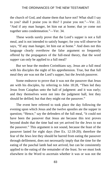the church of God, and shame them that have not? What shall I say to you? shall I praise you in this? I praise you not."—Ver. 22. "And if any man hunger, let him eat at home; that ye come not together unto condemnation."—Ver. 34.

These words surely prove that the Lord's supper is not a full meal, and is not intended to satisfy hunger; for you will observe he says, "If any man hunger, let him eat at home." And does not this language clearly overthrow the false argument so frequently offered by the propagators of the full-meal theory, that the word *supper* can only be applied to a full meal?

But we hear the modern Corinthians say, Jesus ate a full meal with his disciples the night of his apprehension. True, but that full meal they ate was not the Lord's supper, but the Jewish passover.

Some endeavor to prove that it was not the passover that Jesus ate with his disciples, by referring to John 18:28, "Then led they Jesus from Caiaphas unto the hall of judgment: and it was early; and they themselves went not into the judgment hall, lest they should be defiled; but that they might eat the passover."

The event here referred to took place the day following the evening upon which Jesus and the twelve apostles ate the supper in question; "Hence," say the defenders of the full meal, "it could not have been the passover that Jesus ate because this text proves beyond doubt that the time had not yet arrived for the Jews to eat the passover." This argument is not sound, because the feast of the passover lasted for eight days (See Ex. 12:18-20); therefore the fear of the Jews lest they should be barred from eating the passover through defilement, does not necessarily imply that the time for the eating of the paschal lamb had not arrived, but can be consistently applied to the eating of the remainder of the feast. So we must look elsewhere in the Word to ascertain whether it was or was not the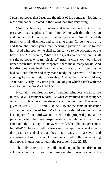Jewish passover that Jesus ate the night of his betrayal. Nothing is more emphatically stated in the Word than this very thing.

"And the first day of unleavened bread, when they killed the passover, his disciples said unto him, Where wilt thou that we go and prepare that thou mayest eat the passover? And he sendeth forth two of his disciples, and saith unto them, Go ye into the city, and there shall meet you a man bearing a pitcher of water: follow him. And wheresoever he shall go in, say ye to the goodman of the house, The Master saith, Where is the guest-chamber, where I shall eat the passover with my disciples? And he will show you a large upper room furnished and prepared: there make ready for us. And his disciples went forth, and came into the city, and found as he had said unto them: and they made ready the passover. And in the evening he cometh with the twelve. And as they sat and did eat, Jesus said, Verily I say unto you, One of you which eateth with me shall betray me."—Mark 14:12-18.

It certainly requires a case of genuine blindness to fail to see in this New Testament record just what constituted the last supper of our Lord. It is here four times styled the passover. The records given in Mat. 26:17-21 and Luke 22:7-15 are the same in substance as that we have quoted from Mark, and why should anyone say the last supper of our Lord was not eaten on the proper day to eat the passover, when the three gospel writers cited above tell us it was eaten on "the first day of unleaven bread, when the passover must be killed"? They also tell us Jesus sent his apostles to make ready the passover, and also that they made ready the passover; and according to Luke's account Jesus himself while they were eating the supper in question called it the passover. Luke 22:15.

The advocates of the full meal, upon being driven to acknowledge that it was the passover that Jesus ate with his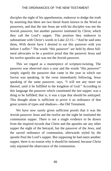disciples the night of his apprehension, endeavor to dodge the truth by asserting that there are two literal feasts known in the Word as passovers, and that the one Jesus ate with his disciples was not the Jewish passover, but another passover instituted by Christ, which they call the Lord's supper. This position they endeavor to substantiate with Christ's words in Luke 22:15—"And he said unto them, With desire have I desired to eat this passover with you before I suffer." The words "this passover" are held by these fullmeal advocates to be a positive proof that the passover Jesus and his twelve apostles ate was not the Jewish passover.

This we regard as a masterpiece of scripture-twisting. The passover was observed once a year and the words "*this passover*" simply signify the passover that came in the year in which our Savior was speaking. In the verse immediately following, Jesus speaking of the same passover, says, "I will not any more eat thereof, until it be fulfilled in the kingdom of God." According to this language the passover which constituted the last supper, was a thing to be fulfilled; that is, it was a type that should be antityped. This thought alone is sufficient to prove it an ordinance of that great system of types and shadows—the Old Testament.

We have now surely given sufficient proofs that it was the Jewish passover Jesus and the twelve ate the night he instituted the communion supper. There is not a single evidence to be drawn from the inspired records that Christ and the apostles ate any other supper the night of the betrayal, but the passover of the Jews, and the sacred ordinance of communion, afterwards styled by the apostle Paul the Lord's supper. But supposing he had eaten another supper, there is no reason why it should be imitated, because Christ only enjoined the observance of the communion.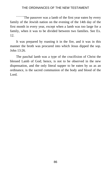```````The passover was a lamb of the first year eaten by every family of the Jewish nation on the evening of the 14th day of the first month in every year, except when a lamb was too large for a family, when it was to be divided between two families. See Ex. 12.

It was prepared by roasting it in the fire, and it was in this manner the broth was procured into which Jesus dipped the sop. John 13:26.

The paschal lamb was a type of the crucifixion of Christ the blessed Lamb of God; hence, is not to be observed in the new dispensation, and the only literal supper to be eaten by us as an ordinance, is the sacred communion of the body and blood of the Lord.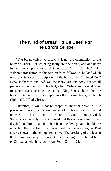# **The Kind of Bread To Be Used For The Lord's Supper**

"The bread which we break, is it not the communion of the body of Christ? For we being many are one bread, and one body: for we are all partakers of that one bread." —1 Cor. 10:16, 17. Wilson's translation of this text reads as follows: "The loaf which we break, is it not a participation of the body of the Anointed One? Because there is one loaf, we, the many, are one body; for we all partake of the one loaf." This text, which Wilson and several other translators translate much better than King James, shows that the bread in its unbroken state represents the spiritual body, or church (Eph. 1:22, 23) of Christ.

Therefore, it would not be proper to chop the bread in little pieces or make upon it any marks of division, for this would represent a church; and the church of God is not divided. Sectarians invariably use such bread, but this only represents their divided condition. But the church of the living God should use none but the one loaf. Such was used by the apostles, as Paul clearly shows in the text quoted above. The breaking of the loaf in the communion supper represents the breaking of the literal body of Christ, namely, his crucifixion. See 1 Cor. 11:24.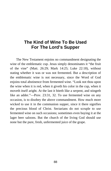# **The Kind of Wine To Be Used For The Lord's Supper**

The New Testament enjoins no commandment designating the wine of the emblematic cup. Jesus simply denominates it "the fruit of the vine" (Matt. 26:29; Mark 14:25; Luke 22:18), without stating whether it was or was not fermented. But a description of the emblematic wine is not necessary, since the Word of God enjoins total abstinence from fermented wine. "Look not thou upon the wine when it is red, when it giveth his color in the cup, when it moveth itself aright. At the last it biteth like a serpent, and stingeth like an adder."—Prov. 23:31, 32. To use fermented wine on any occasion, is to disobey the above commandment. How much more wicked to use it in the communion supper, since it there signifies the precious blood of Christ. Sectarians do not scruple to use fermented wine on such occasions; sometimes even buying it at the lager beer saloons. But the church of the living God should use none but the pure, fresh, unfermented juice of the grape.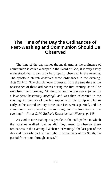# **The Time of the Day the Ordinances of Feet-Washing and Communion Should Be Observed**

The time of the day names the meal. And as the ordinance of communion is called a supper in the Word of God, it is very easily understood that it can only be properly observed in the evening. The apostolic church observed these ordinances in the evening. Acts 20:7-12. The church never digressed from the true time of the observance of these ordinances during the first century, as will be seen from the following: "At the first communion was enjoined by a love feast [*testimony meeting*], and was then celebrated in the evening, in memory of the last supper with his disciples. But so early as the second century these exercises were separated, and the communion was placed in the morning, and the love feast in the evening."—*From C. M. Butler's Eccelsiastical History, p*. 148.

As God is now leading his people in the "old paths" in which the apostles walked, we, as did they, meet to observe these ordinances in the evening. [Webster: "Evening," the last part of the day and the early part of the night. In some parts of the South, the period from noon through sunset."]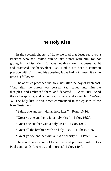# **The Holy Kiss**

In the seventh chapter of Luke we read that Jesus reproved a Pharisee who had invited him to take dinner with him, for not giving him a kiss. Ver. 45. Does not this show that Jesus taught and practiced the benevolent kiss? Had it not been a common practice with Christ and his apostles, Judas had not chosen it a sign unto his followers.

The apostles practiced the holy kiss after the day of Pentecost. "And after the uproar was ceased, Paul called unto him the disciples, and embraced them, and departed." —Acts 20:1. "And they all wept sore, and fell on Paul's neck, and kissed him."—Ver. 37. The holy kiss is five times commanded in the epistles of the New Testament.

"Salute one another with an holy kiss."—Rom. 16:16.

"Greet ye one another with a holy kiss."—1 Cor. 16:20.

"Greet one another with a holy kiss."—2 Cor. 13:12.

"Greet all the brethren with an holy kiss."—1 Thess. 5:26.

"Greet ye one another with a kiss of charity."—1 Peter 5:14.

These ordinances are not to be practiced promiscuously but as Paul commands "decently and in order." 1 Cor. 14:40.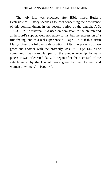The holy kiss was practiced after Bible times. Butler's Ecclesiastical History speaks as follows concerning the observance of this commandment in the second period of the church, A.D. 100-312: "The fraternal kiss used on admission to the church and at the Lord's supper, were not empty forms, but the expression of a true feeling, and of a real experience."—Page 132. "Of this Justin Martyr gives the following description: 'After the prayers . . . we greet one another with the brotherly kiss.' "—Page 146. "The communion was a regular part of the Sunday worship. In many places it was celebrated daily. It began after the dismissal of the catechumens, by the kiss of peace given by men to men and women to women."-Page 147.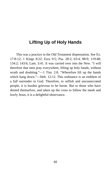# **Lifting Up of Holy Hands**

This was a practice in the Old Testament dispensation. See Ex. 17:8-12; 1 Kings 8:22; Ezra 9:5; Psa. 28:2; 63:4; 88:9; 119:48; 134:2; 143:6; Lam. 3:41. It was carried over into the New. "I will therefore that men pray everywhere, lifting up holy hands, without wrath and doubting."—1 Tim. 2:8. "Wherefore lift up the hands which hang down."—Heb. 12:12. This ordinance is an emblem of a full surrender to God. Therefore, to selfish and unconsecrated people, it is burden grievous to be borne. But to those who have denied themselves, and taken up the cross to follow the meek and lowly Jesus, it is a delightful observance.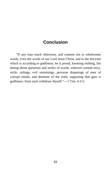# **Conclusion**

"If any man teach otherwise, and consent not to wholesome words, even the words of our Lord Jesus Christ, and to the doctrine which is according to godliness; he is proud, knowing nothing, but doting about questions and strifes of words, whereof cometh envy, strife, railings, evil surmisings, perverse disputings of men of corrupt minds, and destitute of the truth, supposing that gain is godliness: from such withdraw thyself."—1 Tim. 6:3-5.